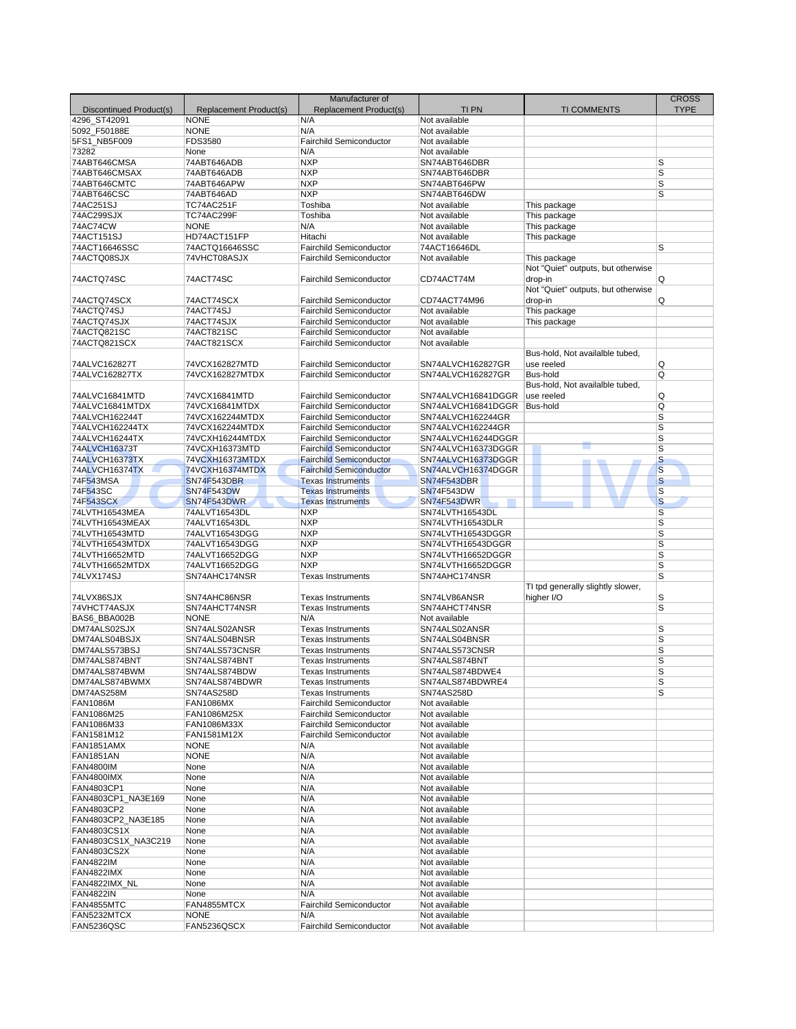|                                       |                        | Manufacturer of                |                    |                                    | <b>CROSS</b>            |
|---------------------------------------|------------------------|--------------------------------|--------------------|------------------------------------|-------------------------|
| Discontinued Product(s)               | Replacement Product(s) | Replacement Product(s)         | TI PN              | <b>TI COMMENTS</b>                 | <b>TYPE</b>             |
| 4296 ST42091                          | <b>NONE</b>            | N/A                            | Not available      |                                    |                         |
| 5092 F50188E                          | <b>NONE</b>            | N/A                            | Not available      |                                    |                         |
| 5FS1 NB5F009                          | <b>FDS3580</b>         | <b>Fairchild Semiconductor</b> | Not available      |                                    |                         |
| 73282                                 | None                   | N/A                            | Not available      |                                    |                         |
| 74ABT646CMSA                          | 74ABT646ADB            | <b>NXP</b>                     | SN74ABT646DBR      |                                    | S                       |
| 74ABT646CMSAX                         | 74ABT646ADB            | <b>NXP</b>                     | SN74ABT646DBR      |                                    | $\overline{\mathsf{s}}$ |
| 74ABT646CMTC                          | 74ABT646APW            | <b>NXP</b>                     | SN74ABT646PW       |                                    | S                       |
| 74ABT646CSC                           | 74ABT646AD             | <b>NXP</b>                     | SN74ABT646DW       |                                    | $\overline{s}$          |
| 74AC251SJ                             | TC74AC251F             | Toshiba                        | Not available      | This package                       |                         |
| 74AC299SJX                            | TC74AC299F             | Toshiba                        | Not available      | This package                       |                         |
| 74AC74CW                              | <b>NONE</b>            | N/A                            | Not available      | This package                       |                         |
| 74ACT151SJ                            | HD74ACT151FP           | Hitachi                        | Not available      | This package                       |                         |
| 74ACT16646SSC                         | 74ACTQ16646SSC         | <b>Fairchild Semiconductor</b> | 74ACT16646DL       |                                    | S                       |
| 74ACTQ08SJX                           | 74VHCT08ASJX           | <b>Fairchild Semiconductor</b> | Not available      | This package                       |                         |
|                                       |                        |                                |                    | Not "Quiet" outputs, but otherwise |                         |
| 74ACTQ74SC                            | 74ACT74SC              | <b>Fairchild Semiconductor</b> | CD74ACT74M         | drop-in                            | Q                       |
|                                       |                        |                                |                    | Not "Quiet" outputs, but otherwise |                         |
| 74ACTQ74SCX                           | 74ACT74SCX             | <b>Fairchild Semiconductor</b> | CD74ACT74M96       | drop-in                            | Q                       |
| 74ACTQ74SJ                            | 74ACT74SJ              | <b>Fairchild Semiconductor</b> | Not available      | This package                       |                         |
| 74ACTQ74SJX                           | 74ACT74SJX             | <b>Fairchild Semiconductor</b> | Not available      | This package                       |                         |
| 74ACTQ821SC                           | 74ACT821SC             | <b>Fairchild Semiconductor</b> | Not available      |                                    |                         |
| 74ACTQ821SCX                          | 74ACT821SCX            | <b>Fairchild Semiconductor</b> | Not available      |                                    |                         |
|                                       |                        |                                |                    | Bus-hold, Not availalble tubed,    |                         |
| 74ALVC162827T                         | 74VCX162827MTD         | <b>Fairchild Semiconductor</b> | SN74ALVCH162827GR  | use reeled                         | Q                       |
| 74ALVC162827TX                        | 74VCX162827MTDX        | <b>Fairchild Semiconductor</b> | SN74ALVCH162827GR  | Bus-hold                           | Q                       |
|                                       |                        |                                |                    | Bus-hold, Not availalble tubed,    |                         |
| 74ALVC16841MTD                        | 74VCX16841MTD          | <b>Fairchild Semiconductor</b> | SN74ALVCH16841DGGR | use reeled                         | Q                       |
| 74ALVC16841MTDX                       | 74VCX16841MTDX         | <b>Fairchild Semiconductor</b> | SN74ALVCH16841DGGR | Bus-hold                           | Q                       |
| 74ALVCH162244T                        | 74VCX162244MTDX        | <b>Fairchild Semiconductor</b> | SN74ALVCH162244GR  |                                    | S                       |
| 74ALVCH162244TX                       | 74VCX162244MTDX        | <b>Fairchild Semiconductor</b> | SN74ALVCH162244GR  |                                    | S                       |
| 74ALVCH16244TX                        | 74VCXH16244MTDX        | <b>Fairchild Semiconductor</b> | SN74ALVCH16244DGGR |                                    | S                       |
| 74ALVCH16373T                         | 74VCXH16373MTD         | <b>Fairchild Semiconductor</b> | SN74ALVCH16373DGGR |                                    | S                       |
| 74ALVCH16373TX                        | 74VCXH16373MTDX        | <b>Fairchild Semiconductor</b> | SN74ALVCH16373DGGR |                                    | $\overline{\mathbf{s}}$ |
| 74ALVCH16374TX                        | 74VCXH16374MTDX        | <b>Fairchild Semiconductor</b> | SN74ALVCH16374DGGR |                                    | S                       |
| 74F543MSA                             | <b>SN74F543DBR</b>     | <b>Texas Instruments</b>       | <b>SN74F543DBR</b> |                                    | ${\mathsf S}$           |
| 74F543SC                              | <b>SN74F543DW</b>      | <b>Texas Instruments</b>       | <b>SN74F543DW</b>  |                                    | S                       |
| 74F543SCX                             | <b>SN74F543DWR</b>     | <b>Texas Instruments</b>       | SN74F543DWR        |                                    | $\overline{\mathbf{s}}$ |
| 74LVTH16543MEA                        | 74ALVT16543DL          | <b>NXP</b>                     | SN74LVTH16543DL    |                                    | S                       |
| 74LVTH16543MEAX                       | 74ALVT16543DL          | <b>NXP</b>                     | SN74LVTH16543DLR   |                                    | S                       |
| 74LVTH16543MTD                        | 74ALVT16543DGG         | <b>NXP</b>                     | SN74LVTH16543DGGR  |                                    | $\overline{s}$          |
| 74LVTH16543MTDX                       | 74ALVT16543DGG         | <b>NXP</b>                     | SN74LVTH16543DGGR  |                                    | S                       |
| 74LVTH16652MTD                        | 74ALVT16652DGG         | <b>NXP</b>                     | SN74LVTH16652DGGR  |                                    | S                       |
| 74LVTH16652MTDX                       | 74ALVT16652DGG         | <b>NXP</b>                     | SN74LVTH16652DGGR  |                                    | S                       |
| 74LVX174SJ                            | SN74AHC174NSR          | <b>Texas Instruments</b>       | SN74AHC174NSR      |                                    | S                       |
|                                       |                        |                                |                    | TI tpd generally slightly slower,  |                         |
| 74LVX86SJX                            | SN74AHC86NSR           | <b>Texas Instruments</b>       | SN74LV86ANSR       | higher I/O                         | S                       |
| 74VHCT74ASJX                          | SN74AHCT74NSR          | <b>Texas Instruments</b>       | SN74AHCT74NSR      |                                    | $\overline{\mathbf{s}}$ |
| BAS6_BBA002B                          | <b>NONE</b>            | N/A                            | Not available      |                                    |                         |
| DM74ALS02SJX                          | SN74ALS02ANSR          | <b>Texas Instruments</b>       | SN74ALS02ANSR      |                                    | S                       |
| DM74ALS04BSJX                         | SN74ALS04BNSR          | <b>Texas Instruments</b>       | SN74ALS04BNSR      |                                    | S                       |
| DM74ALS573BSJ                         | SN74ALS573CNSR         | <b>Texas Instruments</b>       | SN74ALS573CNSR     |                                    | S                       |
| DM74ALS874BNT                         | SN74ALS874BNT          | <b>Texas Instruments</b>       | SN74ALS874BNT      |                                    | S                       |
| DM74ALS874BWM                         | SN74ALS874BDW          | <b>Texas Instruments</b>       | SN74ALS874BDWE4    |                                    | S                       |
| DM74ALS874BWMX                        | SN74ALS874BDWR         | <b>Texas Instruments</b>       | SN74ALS874BDWRE4   |                                    | S                       |
| DM74AS258M                            | <b>SN74AS258D</b>      | <b>Texas Instruments</b>       | SN74AS258D         |                                    | S                       |
| <b>FAN1086M</b>                       | <b>FAN1086MX</b>       | <b>Fairchild Semiconductor</b> | Not available      |                                    |                         |
| FAN1086M25                            | FAN1086M25X            | <b>Fairchild Semiconductor</b> | Not available      |                                    |                         |
| FAN1086M33                            | FAN1086M33X            | <b>Fairchild Semiconductor</b> | Not available      |                                    |                         |
| FAN1581M12                            | FAN1581M12X            | <b>Fairchild Semiconductor</b> | Not available      |                                    |                         |
|                                       |                        | N/A                            | Not available      |                                    |                         |
| FAN1851AMX                            | <b>NONE</b>            | N/A                            | Not available      |                                    |                         |
| <b>FAN1851AN</b>                      | <b>NONE</b>            |                                |                    |                                    |                         |
| <b>FAN4800IM</b><br><b>FAN4800IMX</b> | None                   | N/A                            | Not available      |                                    |                         |
|                                       | None                   | N/A                            | Not available      |                                    |                         |
| FAN4803CP1                            | None                   | N/A                            | Not available      |                                    |                         |
| FAN4803CP1_NA3E169                    | None                   | N/A                            | Not available      |                                    |                         |
| FAN4803CP2                            | None                   | N/A                            | Not available      |                                    |                         |
| FAN4803CP2 NA3E185                    | None                   | N/A                            | Not available      |                                    |                         |
| <b>FAN4803CS1X</b>                    | None                   | N/A                            | Not available      |                                    |                         |
| FAN4803CS1X_NA3C219                   | None                   | N/A                            | Not available      |                                    |                         |
| FAN4803CS2X                           | None                   | N/A                            | Not available      |                                    |                         |
| <b>FAN4822IM</b>                      | None                   | N/A                            | Not available      |                                    |                         |
| <b>FAN4822IMX</b>                     | None                   | N/A                            | Not available      |                                    |                         |
| FAN4822IMX NL                         | None                   | N/A                            | Not available      |                                    |                         |
| <b>FAN4822IN</b>                      | None                   | N/A                            | Not available      |                                    |                         |
| FAN4855MTC                            | FAN4855MTCX            | <b>Fairchild Semiconductor</b> | Not available      |                                    |                         |
| FAN5232MTCX                           | <b>NONE</b>            | N/A                            | Not available      |                                    |                         |
| <b>FAN5236QSC</b>                     | FAN5236QSCX            | <b>Fairchild Semiconductor</b> | Not available      |                                    |                         |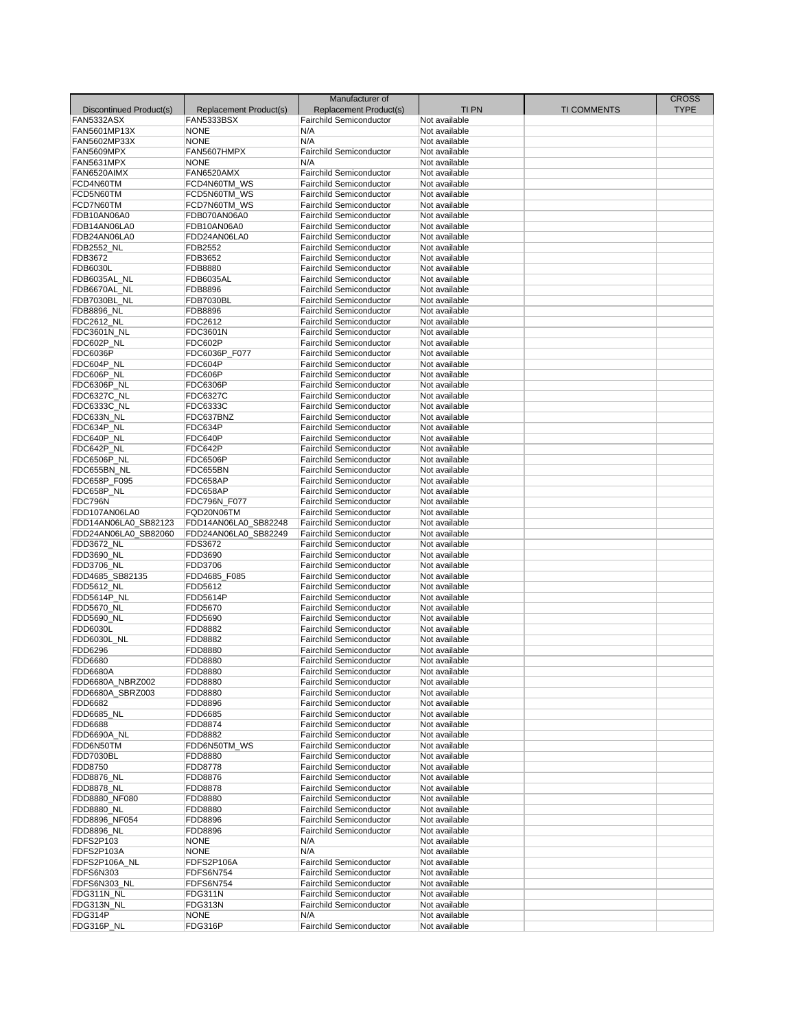| Discontinued Product(s)     | Replacement Product(s)      | Manufacturer of<br>Replacement Product(s)                        | <b>TIPN</b>                    | <b>TI COMMENTS</b> | <b>CROSS</b><br><b>TYPE</b> |
|-----------------------------|-----------------------------|------------------------------------------------------------------|--------------------------------|--------------------|-----------------------------|
| FAN5332ASX                  | FAN5333BSX                  | <b>Fairchild Semiconductor</b>                                   | Not available                  |                    |                             |
| FAN5601MP13X                | <b>NONE</b>                 | N/A                                                              | Not available                  |                    |                             |
| FAN5602MP33X                | <b>NONE</b>                 | N/A                                                              | Not available                  |                    |                             |
| FAN5609MPX                  | FAN5607HMPX                 | <b>Fairchild Semiconductor</b>                                   | Not available                  |                    |                             |
| FAN5631MPX                  | <b>NONE</b>                 | N/A                                                              | Not available                  |                    |                             |
| FAN6520AIMX                 | FAN6520AMX                  | <b>Fairchild Semiconductor</b>                                   | Not available                  |                    |                             |
| FCD4N60TM                   | FCD4N60TM_WS                | <b>Fairchild Semiconductor</b>                                   | Not available                  |                    |                             |
| FCD5N60TM                   | FCD5N60TM WS                | <b>Fairchild Semiconductor</b>                                   | Not available                  |                    |                             |
| FCD7N60TM                   | FCD7N60TM_WS                | <b>Fairchild Semiconductor</b>                                   | Not available                  |                    |                             |
| FDB10AN06A0<br>FDB14AN06LA0 | FDB070AN06A0                | <b>Fairchild Semiconductor</b><br><b>Fairchild Semiconductor</b> | Not available                  |                    |                             |
| FDB24AN06LA0                | FDB10AN06A0<br>FDD24AN06LA0 |                                                                  | Not available                  |                    |                             |
|                             | FDB2552                     | <b>Fairchild Semiconductor</b>                                   | Not available                  |                    |                             |
| FDB2552_NL                  | FDB3652                     | <b>Fairchild Semiconductor</b><br><b>Fairchild Semiconductor</b> | Not available                  |                    |                             |
| FDB3672<br>FDB6030L         | FDB8880                     | <b>Fairchild Semiconductor</b>                                   | Not available<br>Not available |                    |                             |
| FDB6035AL_NL                | <b>FDB6035AL</b>            | <b>Fairchild Semiconductor</b>                                   | Not available                  |                    |                             |
| FDB6670AL_NL                | FDB8896                     | <b>Fairchild Semiconductor</b>                                   | Not available                  |                    |                             |
| FDB7030BL_NL                | <b>FDB7030BL</b>            | <b>Fairchild Semiconductor</b>                                   | Not available                  |                    |                             |
| FDB8896_NL                  | FDB8896                     | <b>Fairchild Semiconductor</b>                                   | Not available                  |                    |                             |
| <b>FDC2612 NL</b>           | FDC2612                     | <b>Fairchild Semiconductor</b>                                   | Not available                  |                    |                             |
| FDC3601N_NL                 | FDC3601N                    | <b>Fairchild Semiconductor</b>                                   | Not available                  |                    |                             |
| FDC602P_NL                  | FDC602P                     | <b>Fairchild Semiconductor</b>                                   | Not available                  |                    |                             |
| FDC6036P                    | FDC6036P F077               | <b>Fairchild Semiconductor</b>                                   | Not available                  |                    |                             |
| FDC604P_NL                  | FDC604P                     | <b>Fairchild Semiconductor</b>                                   | Not available                  |                    |                             |
| FDC606P_NL                  | FDC606P                     | <b>Fairchild Semiconductor</b>                                   | Not available                  |                    |                             |
| FDC6306P_NL                 | <b>FDC6306P</b>             | <b>Fairchild Semiconductor</b>                                   | Not available                  |                    |                             |
| FDC6327C_NL                 | <b>FDC6327C</b>             | <b>Fairchild Semiconductor</b>                                   | Not available                  |                    |                             |
| FDC6333C_NL                 | FDC6333C                    | <b>Fairchild Semiconductor</b>                                   | Not available                  |                    |                             |
| FDC633N_NL                  | FDC637BNZ                   | <b>Fairchild Semiconductor</b>                                   | Not available                  |                    |                             |
| FDC634P NL                  | FDC634P                     | <b>Fairchild Semiconductor</b>                                   | Not available                  |                    |                             |
| FDC640P_NL                  | <b>FDC640P</b>              | <b>Fairchild Semiconductor</b>                                   | Not available                  |                    |                             |
| FDC642P_NL                  | FDC642P                     | <b>Fairchild Semiconductor</b>                                   | Not available                  |                    |                             |
| FDC6506P_NL                 | <b>FDC6506P</b>             | <b>Fairchild Semiconductor</b>                                   | Not available                  |                    |                             |
| FDC655BN_NL                 | FDC655BN                    | <b>Fairchild Semiconductor</b>                                   | Not available                  |                    |                             |
| FDC658P_F095                | FDC658AP                    | <b>Fairchild Semiconductor</b>                                   | Not available                  |                    |                             |
| FDC658P_NL                  | FDC658AP                    | <b>Fairchild Semiconductor</b>                                   | Not available                  |                    |                             |
| FDC796N                     | <b>FDC796N F077</b>         | <b>Fairchild Semiconductor</b>                                   | Not available                  |                    |                             |
| FDD107AN06LA0               | FQD20N06TM                  | <b>Fairchild Semiconductor</b>                                   | Not available                  |                    |                             |
| FDD14AN06LA0_SB82123        | FDD14AN06LA0_SB82248        | <b>Fairchild Semiconductor</b>                                   | Not available                  |                    |                             |
| FDD24AN06LA0 SB82060        | FDD24AN06LA0 SB82249        | <b>Fairchild Semiconductor</b>                                   | Not available                  |                    |                             |
| FDD3672_NL                  | FDS3672                     | <b>Fairchild Semiconductor</b>                                   | Not available                  |                    |                             |
| FDD3690_NL                  | FDD3690                     | <b>Fairchild Semiconductor</b>                                   | Not available                  |                    |                             |
| FDD3706_NL                  | FDD3706                     | <b>Fairchild Semiconductor</b>                                   | Not available                  |                    |                             |
| FDD4685 SB82135             | FDD4685_F085                | <b>Fairchild Semiconductor</b>                                   | Not available                  |                    |                             |
| FDD5612_NL                  | FDD5612                     | <b>Fairchild Semiconductor</b>                                   | Not available                  |                    |                             |
| FDD5614P_NL                 | FDD5614P                    | <b>Fairchild Semiconductor</b>                                   | Not available                  |                    |                             |
| FDD5670_NL                  | FDD5670                     | <b>Fairchild Semiconductor</b>                                   | Not available                  |                    |                             |
| FDD5690_NL                  | FDD5690                     | <b>Fairchild Semiconductor</b>                                   | Not available                  |                    |                             |
| <b>FDD6030L</b>             | FDD8882                     | <b>Fairchild Semiconductor</b>                                   | Not available                  |                    |                             |
| FDD6030L_NL                 | FDD8882                     | <b>Fairchild Semiconductor</b>                                   | Not available                  |                    |                             |
| FDD6296                     | FDD8880                     | <b>Fairchild Semiconductor</b>                                   | Not available                  |                    |                             |
| FDD6680                     | FDD8880                     | <b>Fairchild Semiconductor</b>                                   | Not available                  |                    |                             |
| <b>FDD6680A</b>             | FDD8880                     | <b>Fairchild Semiconductor</b>                                   | Not available                  |                    |                             |
| FDD6680A_NBRZ002            | FDD8880                     | Fairchild Semiconductor                                          | Not available                  |                    |                             |
| FDD6680A_SBRZ003            | FDD8880                     | <b>Fairchild Semiconductor</b>                                   | Not available                  |                    |                             |
| FDD6682                     | FDD8896                     | <b>Fairchild Semiconductor</b>                                   | Not available                  |                    |                             |
| FDD6685_NL                  | FDD6685                     | <b>Fairchild Semiconductor</b>                                   | Not available                  |                    |                             |
| FDD6688                     | FDD8874                     | <b>Fairchild Semiconductor</b>                                   | Not available                  |                    |                             |
| FDD6690A NL                 | FDD8882                     | Fairchild Semiconductor                                          | Not available                  |                    |                             |
| FDD6N50TM                   | FDD6N50TM_WS                | <b>Fairchild Semiconductor</b>                                   | Not available                  |                    |                             |
| FDD7030BL                   | FDD8880                     | <b>Fairchild Semiconductor</b>                                   | Not available                  |                    |                             |
| FDD8750                     | FDD8778                     | Fairchild Semiconductor                                          | Not available                  |                    |                             |
| FDD8876_NL                  | FDD8876                     | <b>Fairchild Semiconductor</b>                                   | Not available                  |                    |                             |
| <b>FDD8878_NL</b>           | FDD8878                     | <b>Fairchild Semiconductor</b>                                   | Not available                  |                    |                             |
| FDD8880_NF080               | FDD8880                     | <b>Fairchild Semiconductor</b>                                   | Not available                  |                    |                             |
| FDD8880_NL                  | FDD8880                     | Fairchild Semiconductor                                          | Not available                  |                    |                             |
| FDD8896 NF054               | FDD8896                     | <b>Fairchild Semiconductor</b>                                   | Not available                  |                    |                             |
| FDD8896_NL                  | FDD8896                     | <b>Fairchild Semiconductor</b>                                   | Not available                  |                    |                             |
| FDFS2P103                   | <b>NONE</b>                 | N/A                                                              | Not available                  |                    |                             |
| FDFS2P103A                  | <b>NONE</b>                 | N/A                                                              | Not available                  |                    |                             |
| FDFS2P106A_NL               | FDFS2P106A                  | <b>Fairchild Semiconductor</b>                                   | Not available                  |                    |                             |
| FDFS6N303                   | FDFS6N754                   | <b>Fairchild Semiconductor</b>                                   | Not available                  |                    |                             |
|                             | <b>FDFS6N754</b>            | Fairchild Semiconductor                                          | Not available                  |                    |                             |
| FDFS6N303_NL                |                             |                                                                  |                                |                    |                             |
| FDG311N_NL                  | FDG311N                     | <b>Fairchild Semiconductor</b>                                   | Not available                  |                    |                             |
| FDG313N_NL                  | FDG313N                     | <b>Fairchild Semiconductor</b>                                   | Not available                  |                    |                             |
| FDG314P<br>FDG316P_NL       | <b>NONE</b><br>FDG316P      | N/A<br>Fairchild Semiconductor                                   | Not available                  |                    |                             |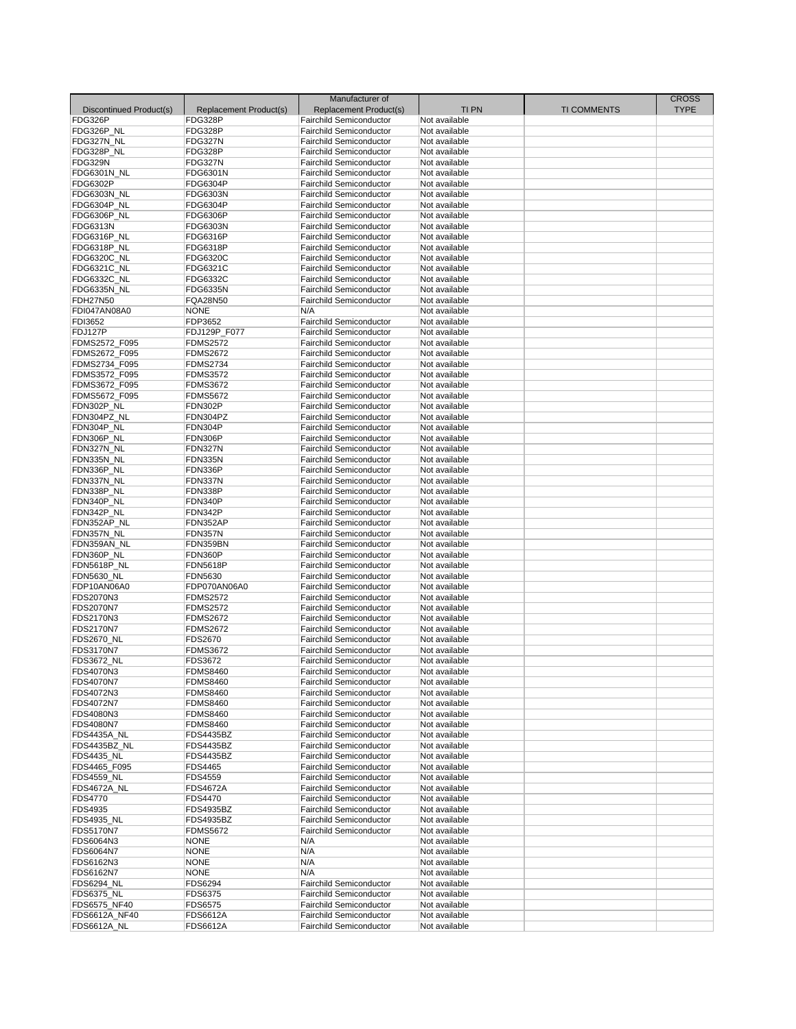|                         |                        | Manufacturer of                |               |                    | <b>CROSS</b> |
|-------------------------|------------------------|--------------------------------|---------------|--------------------|--------------|
| Discontinued Product(s) | Replacement Product(s) | Replacement Product(s)         | <b>TIPN</b>   | <b>TI COMMENTS</b> | <b>TYPE</b>  |
| FDG326P                 | FDG328P                | <b>Fairchild Semiconductor</b> | Not available |                    |              |
| FDG326P_NL              | FDG328P                | <b>Fairchild Semiconductor</b> | Not available |                    |              |
| FDG327N_NL              | FDG327N                | <b>Fairchild Semiconductor</b> | Not available |                    |              |
| FDG328P_NL              | FDG328P                | <b>Fairchild Semiconductor</b> | Not available |                    |              |
| <b>FDG329N</b>          | FDG327N                | <b>Fairchild Semiconductor</b> | Not available |                    |              |
| FDG6301N NL             | FDG6301N               | Fairchild Semiconductor        | Not available |                    |              |
| FDG6302P                | FDG6304P               | <b>Fairchild Semiconductor</b> |               |                    |              |
| FDG6303N NL             |                        |                                | Not available |                    |              |
|                         | <b>FDG6303N</b>        | <b>Fairchild Semiconductor</b> | Not available |                    |              |
| FDG6304P_NL             | FDG6304P               | <b>Fairchild Semiconductor</b> | Not available |                    |              |
| FDG6306P NL             | <b>FDG6306P</b>        | <b>Fairchild Semiconductor</b> | Not available |                    |              |
| <b>FDG6313N</b>         | FDG6303N               | <b>Fairchild Semiconductor</b> | Not available |                    |              |
| FDG6316P_NL             | FDG6316P               | <b>Fairchild Semiconductor</b> | Not available |                    |              |
| FDG6318P_NL             | FDG6318P               | <b>Fairchild Semiconductor</b> | Not available |                    |              |
| FDG6320C_NL             | FDG6320C               | <b>Fairchild Semiconductor</b> | Not available |                    |              |
| FDG6321C_NL             | FDG6321C               | <b>Fairchild Semiconductor</b> | Not available |                    |              |
| FDG6332C_NL             | FDG6332C               | <b>Fairchild Semiconductor</b> | Not available |                    |              |
| FDG6335N_NL             | <b>FDG6335N</b>        | <b>Fairchild Semiconductor</b> | Not available |                    |              |
| <b>FDH27N50</b>         | FQA28N50               | <b>Fairchild Semiconductor</b> | Not available |                    |              |
| FDI047AN08A0            | <b>NONE</b>            | N/A                            | Not available |                    |              |
| FDI3652                 | FDP3652                | <b>Fairchild Semiconductor</b> | Not available |                    |              |
| FDJ127P                 | FDJ129P_F077           | <b>Fairchild Semiconductor</b> | Not available |                    |              |
| FDMS2572 F095           | <b>FDMS2572</b>        | <b>Fairchild Semiconductor</b> | Not available |                    |              |
| FDMS2672_F095           | <b>FDMS2672</b>        | <b>Fairchild Semiconductor</b> | Not available |                    |              |
| FDMS2734_F095           | <b>FDMS2734</b>        | <b>Fairchild Semiconductor</b> | Not available |                    |              |
| FDMS3572_F095           | <b>FDMS3572</b>        | <b>Fairchild Semiconductor</b> | Not available |                    |              |
| FDMS3672_F095           | <b>FDMS3672</b>        | <b>Fairchild Semiconductor</b> | Not available |                    |              |
|                         |                        |                                | Not available |                    |              |
| FDMS5672_F095           | <b>FDMS5672</b>        | <b>Fairchild Semiconductor</b> | Not available |                    |              |
| FDN302P_NL              | FDN302P                | <b>Fairchild Semiconductor</b> |               |                    |              |
| FDN304PZ NL             | FDN304PZ               | <b>Fairchild Semiconductor</b> | Not available |                    |              |
| FDN304P_NL              | FDN304P                | <b>Fairchild Semiconductor</b> | Not available |                    |              |
| FDN306P_NL              | FDN306P                | <b>Fairchild Semiconductor</b> | Not available |                    |              |
| FDN327N_NL              | FDN327N                | Fairchild Semiconductor        | Not available |                    |              |
| FDN335N NL              | FDN335N                | <b>Fairchild Semiconductor</b> | Not available |                    |              |
| FDN336P_NL              | FDN336P                | <b>Fairchild Semiconductor</b> | Not available |                    |              |
| FDN337N NL              | FDN337N                | <b>Fairchild Semiconductor</b> | Not available |                    |              |
| FDN338P_NL              | FDN338P                | Fairchild Semiconductor        | Not available |                    |              |
| FDN340P_NL              | FDN340P                | <b>Fairchild Semiconductor</b> | Not available |                    |              |
| FDN342P_NL              | FDN342P                | <b>Fairchild Semiconductor</b> | Not available |                    |              |
| FDN352AP_NL             | FDN352AP               | <b>Fairchild Semiconductor</b> | Not available |                    |              |
| FDN357N_NL              | <b>FDN357N</b>         | <b>Fairchild Semiconductor</b> | Not available |                    |              |
| FDN359AN_NL             | FDN359BN               | <b>Fairchild Semiconductor</b> | Not available |                    |              |
| FDN360P_NL              | FDN360P                | <b>Fairchild Semiconductor</b> | Not available |                    |              |
| FDN5618P_NL             | <b>FDN5618P</b>        | <b>Fairchild Semiconductor</b> | Not available |                    |              |
| <b>FDN5630 NL</b>       | FDN5630                | <b>Fairchild Semiconductor</b> | Not available |                    |              |
| FDP10AN06A0             | FDP070AN06A0           | <b>Fairchild Semiconductor</b> | Not available |                    |              |
| FDS2070N3               | <b>FDMS2572</b>        | <b>Fairchild Semiconductor</b> | Not available |                    |              |
|                         |                        |                                |               |                    |              |
| <b>FDS2070N7</b>        | <b>FDMS2572</b>        | <b>Fairchild Semiconductor</b> | Not available |                    |              |
| FDS2170N3               | <b>FDMS2672</b>        | <b>Fairchild Semiconductor</b> | Not available |                    |              |
| FDS2170N7               | <b>FDMS2672</b>        | <b>Fairchild Semiconductor</b> | Not available |                    |              |
| <b>FDS2670_NL</b>       | <b>FDS2670</b>         | <b>Fairchild Semiconductor</b> | Not available |                    |              |
| <b>FDS3170N7</b>        | <b>FDMS3672</b>        | <b>Fairchild Semiconductor</b> | Not available |                    |              |
| <b>FDS3672 NL</b>       | FDS3672                | <b>Fairchild Semiconductor</b> | Not available |                    |              |
| FDS4070N3               | <b>FDMS8460</b>        | <b>Fairchild Semiconductor</b> | Not available |                    |              |
| <b>FDS4070N7</b>        | <b>FDMS8460</b>        | Fairchild Semiconductor        | Not available |                    |              |
| FDS4072N3               | <b>FDMS8460</b>        | <b>Fairchild Semiconductor</b> | Not available |                    |              |
| FDS4072N7               | <b>FDMS8460</b>        | <b>Fairchild Semiconductor</b> | Not available |                    |              |
| FDS4080N3               | <b>FDMS8460</b>        | <b>Fairchild Semiconductor</b> | Not available |                    |              |
| <b>FDS4080N7</b>        | <b>FDMS8460</b>        | <b>Fairchild Semiconductor</b> | Not available |                    |              |
| <b>FDS4435A_NL</b>      | <b>FDS4435BZ</b>       | <b>Fairchild Semiconductor</b> | Not available |                    |              |
| FDS4435BZ NL            | <b>FDS4435BZ</b>       | <b>Fairchild Semiconductor</b> | Not available |                    |              |
| <b>FDS4435_NL</b>       | FDS4435BZ              | <b>Fairchild Semiconductor</b> | Not available |                    |              |
| FDS4465_F095            | <b>FDS4465</b>         | <b>Fairchild Semiconductor</b> | Not available |                    |              |
| <b>FDS4559_NL</b>       | <b>FDS4559</b>         | <b>Fairchild Semiconductor</b> | Not available |                    |              |
| <b>FDS4672A_NL</b>      | <b>FDS4672A</b>        | <b>Fairchild Semiconductor</b> | Not available |                    |              |
| <b>FDS4770</b>          | <b>FDS4470</b>         | <b>Fairchild Semiconductor</b> | Not available |                    |              |
| FDS4935                 | <b>FDS4935BZ</b>       | <b>Fairchild Semiconductor</b> | Not available |                    |              |
| <b>FDS4935 NL</b>       |                        | <b>Fairchild Semiconductor</b> | Not available |                    |              |
|                         | <b>FDS4935BZ</b>       |                                |               |                    |              |
| <b>FDS5170N7</b>        | <b>FDMS5672</b>        | <b>Fairchild Semiconductor</b> | Not available |                    |              |
| FDS6064N3               | <b>NONE</b>            | N/A                            | Not available |                    |              |
| FDS6064N7               | <b>NONE</b>            | N/A                            | Not available |                    |              |
| FDS6162N3               | <b>NONE</b>            | N/A                            | Not available |                    |              |
| FDS6162N7               | <b>NONE</b>            | N/A                            | Not available |                    |              |
| <b>FDS6294_NL</b>       | <b>FDS6294</b>         | <b>Fairchild Semiconductor</b> | Not available |                    |              |
| <b>FDS6375_NL</b>       | FDS6375                | <b>Fairchild Semiconductor</b> | Not available |                    |              |
| FDS6575_NF40            | <b>FDS6575</b>         | <b>Fairchild Semiconductor</b> | Not available |                    |              |
| FDS6612A_NF40           | <b>FDS6612A</b>        | Fairchild Semiconductor        | Not available |                    |              |
| <b>FDS6612A_NL</b>      | <b>FDS6612A</b>        | Fairchild Semiconductor        | Not available |                    |              |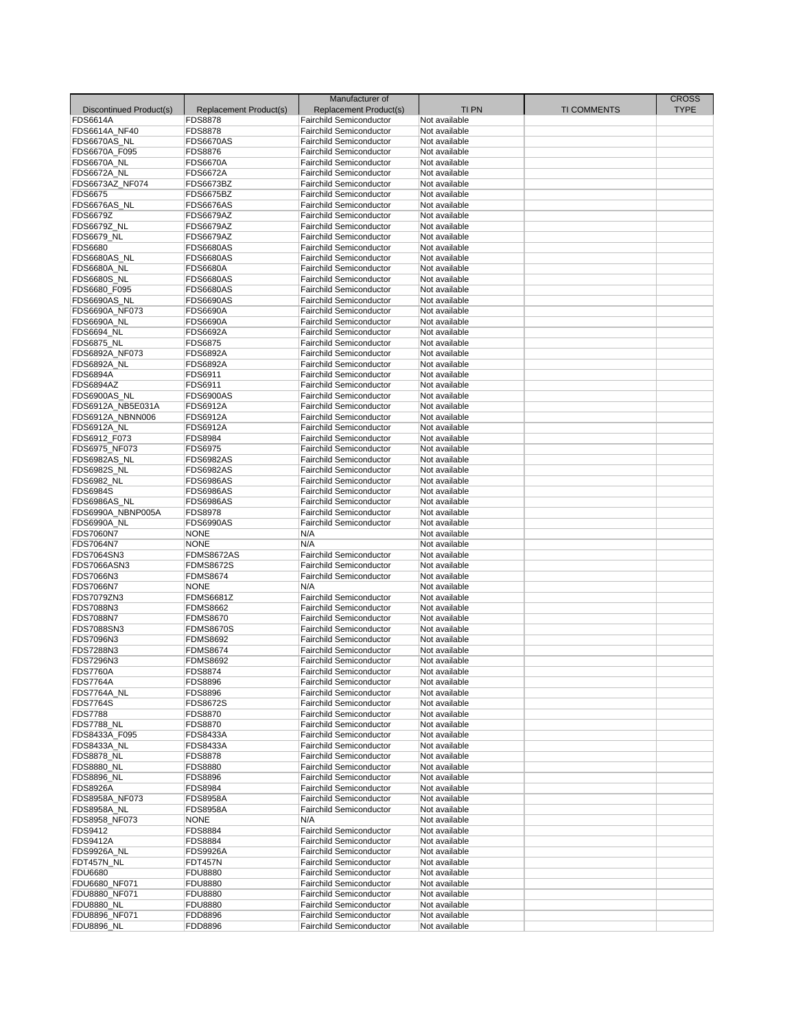| Discontinued Product(s)                                 | Replacement Product(s) | Manufacturer of<br>Replacement Product(s)                 | <b>TIPN</b>                    | <b>TI COMMENTS</b> | <b>CROSS</b><br><b>TYPE</b> |
|---------------------------------------------------------|------------------------|-----------------------------------------------------------|--------------------------------|--------------------|-----------------------------|
| <b>FDS6614A</b>                                         | <b>FDS8878</b>         | <b>Fairchild Semiconductor</b>                            | Not available                  |                    |                             |
| FDS6614A_NF40                                           | <b>FDS8878</b>         | <b>Fairchild Semiconductor</b>                            | Not available                  |                    |                             |
| FDS6670AS_NL                                            | <b>FDS6670AS</b>       | <b>Fairchild Semiconductor</b>                            | Not available                  |                    |                             |
| FDS6670A_F095                                           | <b>FDS8876</b>         | <b>Fairchild Semiconductor</b>                            | Not available                  |                    |                             |
| FDS6670A_NL                                             | <b>FDS6670A</b>        | <b>Fairchild Semiconductor</b>                            | Not available                  |                    |                             |
|                                                         |                        |                                                           |                                |                    |                             |
| <b>FDS6672A_NL</b>                                      | <b>FDS6672A</b>        | <b>Fairchild Semiconductor</b>                            | Not available                  |                    |                             |
| FDS6673AZ NF074                                         | FDS6673BZ              | <b>Fairchild Semiconductor</b>                            | Not available                  |                    |                             |
| <b>FDS6675</b>                                          | <b>FDS6675BZ</b>       | <b>Fairchild Semiconductor</b>                            | Not available                  |                    |                             |
| FDS6676AS_NL                                            | <b>FDS6676AS</b>       | <b>Fairchild Semiconductor</b>                            | Not available                  |                    |                             |
| <b>FDS6679Z</b>                                         | FDS6679AZ              | <b>Fairchild Semiconductor</b>                            | Not available                  |                    |                             |
| FDS6679Z_NL                                             | <b>FDS6679AZ</b>       | <b>Fairchild Semiconductor</b>                            | Not available                  |                    |                             |
| <b>FDS6679 NL</b>                                       | <b>FDS6679AZ</b>       | <b>Fairchild Semiconductor</b>                            | Not available                  |                    |                             |
| FDS6680                                                 | <b>FDS6680AS</b>       | <b>Fairchild Semiconductor</b>                            | Not available                  |                    |                             |
|                                                         |                        |                                                           |                                |                    |                             |
| FDS6680AS_NL                                            | <b>FDS6680AS</b>       | <b>Fairchild Semiconductor</b>                            | Not available                  |                    |                             |
| <b>FDS6680A_NL</b>                                      | <b>FDS6680A</b>        | <b>Fairchild Semiconductor</b>                            | Not available                  |                    |                             |
| FDS6680S_NL                                             | <b>FDS6680AS</b>       | <b>Fairchild Semiconductor</b>                            | Not available                  |                    |                             |
| FDS6680 F095                                            | <b>FDS6680AS</b>       | <b>Fairchild Semiconductor</b>                            | Not available                  |                    |                             |
| FDS6690AS_NL                                            | <b>FDS6690AS</b>       | <b>Fairchild Semiconductor</b>                            | Not available                  |                    |                             |
| FDS6690A_NF073                                          | <b>FDS6690A</b>        | <b>Fairchild Semiconductor</b>                            | Not available                  |                    |                             |
|                                                         |                        |                                                           |                                |                    |                             |
| FDS6690A NL                                             | <b>FDS6690A</b>        | <b>Fairchild Semiconductor</b>                            | Not available                  |                    |                             |
| <b>FDS6694_NL</b>                                       | <b>FDS6692A</b>        | <b>Fairchild Semiconductor</b>                            | Not available                  |                    |                             |
| <b>FDS6875_NL</b>                                       | <b>FDS6875</b>         | <b>Fairchild Semiconductor</b>                            | Not available                  |                    |                             |
| FDS6892A NF073                                          | <b>FDS6892A</b>        | <b>Fairchild Semiconductor</b>                            | Not available                  |                    |                             |
| FDS6892A NL                                             | <b>FDS6892A</b>        | <b>Fairchild Semiconductor</b>                            | Not available                  |                    |                             |
| <b>FDS6894A</b>                                         | FDS6911                | <b>Fairchild Semiconductor</b>                            | Not available                  |                    |                             |
|                                                         |                        |                                                           |                                |                    |                             |
| <b>FDS6894AZ</b>                                        | FDS6911                | <b>Fairchild Semiconductor</b>                            | Not available                  |                    |                             |
| FDS6900AS NL                                            | <b>FDS6900AS</b>       | <b>Fairchild Semiconductor</b>                            | Not available                  |                    |                             |
| FDS6912A_NB5E031A                                       | <b>FDS6912A</b>        | <b>Fairchild Semiconductor</b>                            | Not available                  |                    |                             |
| FDS6912A_NBNN006                                        | <b>FDS6912A</b>        | <b>Fairchild Semiconductor</b>                            | Not available                  |                    |                             |
| <b>FDS6912A NL</b>                                      | <b>FDS6912A</b>        | <b>Fairchild Semiconductor</b>                            | Not available                  |                    |                             |
| FDS6912 F073                                            | <b>FDS8984</b>         | <b>Fairchild Semiconductor</b>                            | Not available                  |                    |                             |
|                                                         |                        |                                                           |                                |                    |                             |
| FDS6975_NF073                                           | <b>FDS6975</b>         | <b>Fairchild Semiconductor</b>                            | Not available                  |                    |                             |
| FDS6982AS_NL                                            | <b>FDS6982AS</b>       | <b>Fairchild Semiconductor</b>                            | Not available                  |                    |                             |
| FDS6982S_NL                                             | <b>FDS6982AS</b>       | <b>Fairchild Semiconductor</b>                            | Not available                  |                    |                             |
| <b>FDS6982 NL</b>                                       | <b>FDS6986AS</b>       | <b>Fairchild Semiconductor</b>                            | Not available                  |                    |                             |
| <b>FDS6984S</b>                                         | <b>FDS6986AS</b>       | <b>Fairchild Semiconductor</b>                            | Not available                  |                    |                             |
| FDS6986AS_NL                                            | <b>FDS6986AS</b>       | <b>Fairchild Semiconductor</b>                            | Not available                  |                    |                             |
| FDS6990A_NBNP005A                                       | <b>FDS8978</b>         | <b>Fairchild Semiconductor</b>                            | Not available                  |                    |                             |
|                                                         |                        |                                                           |                                |                    |                             |
| FDS6990A_NL                                             | <b>FDS6990AS</b>       | <b>Fairchild Semiconductor</b>                            | Not available                  |                    |                             |
| <b>FDS7060N7</b>                                        | <b>NONE</b>            | N/A                                                       | Not available                  |                    |                             |
| FDS7064N7                                               | <b>NONE</b>            | N/A                                                       | Not available                  |                    |                             |
| FDS7064SN3                                              | FDMS8672AS             | <b>Fairchild Semiconductor</b>                            | Not available                  |                    |                             |
| FDS7066ASN3                                             | <b>FDMS8672S</b>       | <b>Fairchild Semiconductor</b>                            | Not available                  |                    |                             |
| FDS7066N3                                               | <b>FDMS8674</b>        | <b>Fairchild Semiconductor</b>                            | Not available                  |                    |                             |
|                                                         |                        |                                                           |                                |                    |                             |
| <b>FDS7066N7</b>                                        | <b>NONE</b>            | N/A                                                       | Not available                  |                    |                             |
| FDS7079ZN3                                              | <b>FDMS6681Z</b>       | <b>Fairchild Semiconductor</b>                            | Not available                  |                    |                             |
| FDS7088N3                                               | <b>FDMS8662</b>        | <b>Fairchild Semiconductor</b>                            | Not available                  |                    |                             |
| <b>FDS7088N7</b>                                        | <b>FDMS8670</b>        | <b>Fairchild Semiconductor</b>                            | Not available                  |                    |                             |
| FDS7088SN3                                              | <b>FDMS8670S</b>       | <b>Fairchild Semiconductor</b>                            | Not available                  |                    |                             |
| FDS7096N3                                               | <b>FDMS8692</b>        | <b>Fairchild Semiconductor</b>                            | Not available                  |                    |                             |
|                                                         |                        |                                                           |                                |                    |                             |
| FDS7288N3                                               | <b>FDMS8674</b>        | <b>Fairchild Semiconductor</b>                            | Not available                  |                    |                             |
| FDS7296N3                                               | <b>FDMS8692</b>        | <b>Fairchild Semiconductor</b>                            | Not available                  |                    |                             |
| <b>FDS7760A</b>                                         | <b>FDS8874</b>         | <b>Fairchild Semiconductor</b>                            | Not available                  |                    |                             |
| <b>FDS7764A</b>                                         | <b>FDS8896</b>         | Fairchild Semiconductor                                   | Not available                  |                    |                             |
| FDS7764A NL                                             | <b>FDS8896</b>         | <b>Fairchild Semiconductor</b>                            | Not available                  |                    |                             |
| <b>FDS7764S</b>                                         | <b>FDS8672S</b>        | <b>Fairchild Semiconductor</b>                            | Not available                  |                    |                             |
|                                                         |                        |                                                           |                                |                    |                             |
| <b>FDS7788</b>                                          | FDS8870                | <b>Fairchild Semiconductor</b>                            | Not available                  |                    |                             |
| <b>FDS7788_NL</b>                                       | <b>FDS8870</b>         | <b>Fairchild Semiconductor</b>                            | Not available                  |                    |                             |
| FDS8433A_F095                                           | <b>FDS8433A</b>        | <b>Fairchild Semiconductor</b>                            | Not available                  |                    |                             |
| <b>FDS8433A NL</b>                                      | <b>FDS8433A</b>        | <b>Fairchild Semiconductor</b>                            | Not available                  |                    |                             |
| <b>FDS8878_NL</b>                                       | <b>FDS8878</b>         | <b>Fairchild Semiconductor</b>                            | Not available                  |                    |                             |
| <b>FDS8880_NL</b>                                       | <b>FDS8880</b>         | <b>Fairchild Semiconductor</b>                            | Not available                  |                    |                             |
|                                                         |                        |                                                           |                                |                    |                             |
| <b>FDS8896_NL</b>                                       | <b>FDS8896</b>         | <b>Fairchild Semiconductor</b>                            | Not available                  |                    |                             |
| <b>FDS8926A</b>                                         | <b>FDS8984</b>         | <b>Fairchild Semiconductor</b>                            | Not available                  |                    |                             |
| FDS8958A_NF073                                          | <b>FDS8958A</b>        | <b>Fairchild Semiconductor</b>                            | Not available                  |                    |                             |
| <b>FDS8958A_NL</b>                                      | <b>FDS8958A</b>        | <b>Fairchild Semiconductor</b>                            | Not available                  |                    |                             |
| FDS8958 NF073                                           | <b>NONE</b>            | N/A                                                       | Not available                  |                    |                             |
| FDS9412                                                 | <b>FDS8884</b>         | Fairchild Semiconductor                                   | Not available                  |                    |                             |
|                                                         |                        |                                                           |                                |                    |                             |
| <b>FDS9412A</b>                                         | <b>FDS8884</b>         | <b>Fairchild Semiconductor</b>                            | Not available                  |                    |                             |
| FDS9926A NL                                             | <b>FDS9926A</b>        | <b>Fairchild Semiconductor</b>                            | Not available                  |                    |                             |
| FDT457N_NL                                              | <b>FDT457N</b>         | <b>Fairchild Semiconductor</b>                            | Not available                  |                    |                             |
| <b>FDU6680</b>                                          | <b>FDU8880</b>         | <b>Fairchild Semiconductor</b>                            | Not available                  |                    |                             |
|                                                         |                        | <b>Fairchild Semiconductor</b>                            | Not available                  |                    |                             |
|                                                         |                        |                                                           |                                |                    |                             |
| FDU6680 NF071                                           | <b>FDU8880</b>         |                                                           |                                |                    |                             |
| FDU8880_NF071                                           | <b>FDU8880</b>         | <b>Fairchild Semiconductor</b>                            | Not available                  |                    |                             |
|                                                         | <b>FDU8880</b>         | <b>Fairchild Semiconductor</b>                            | Not available                  |                    |                             |
| <b>FDU8880_NL</b><br>FDU8896 NF071<br><b>FDU8896_NL</b> | FDD8896<br>FDD8896     | <b>Fairchild Semiconductor</b><br>Fairchild Semiconductor | Not available<br>Not available |                    |                             |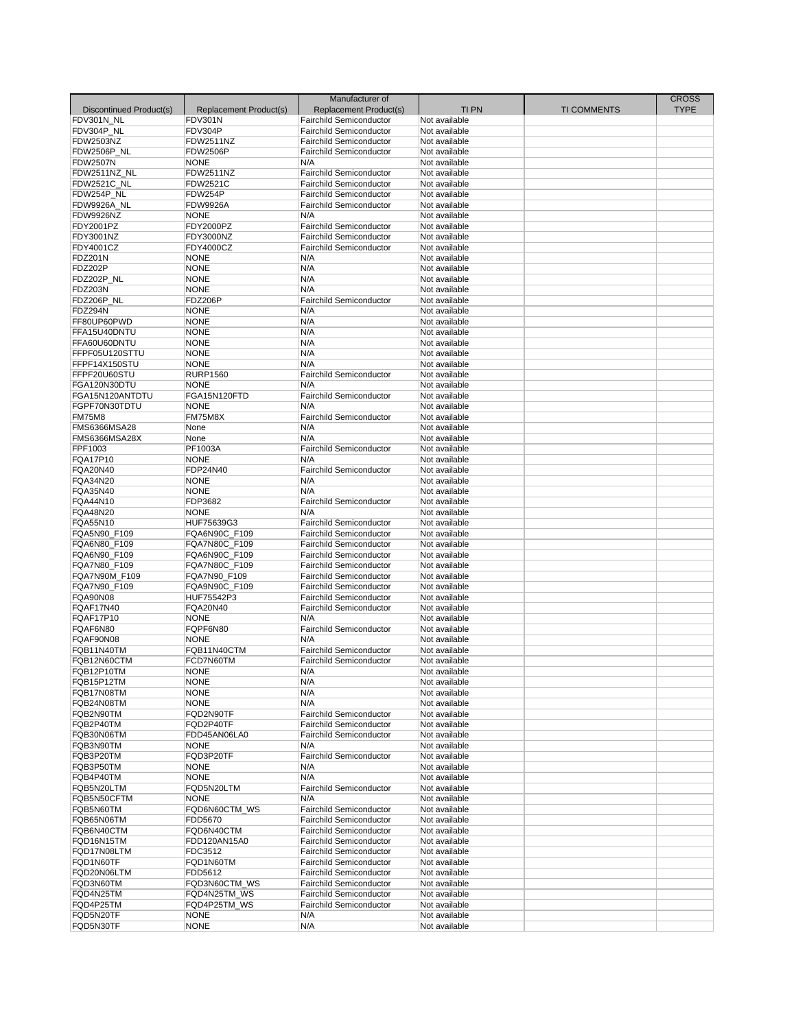| Discontinued Product(s)     | Replacement Product(s)     | Manufacturer of<br>Replacement Product(s)                        | <b>TIPN</b>                    | <b>TI COMMENTS</b> | <b>CROSS</b><br><b>TYPE</b> |
|-----------------------------|----------------------------|------------------------------------------------------------------|--------------------------------|--------------------|-----------------------------|
| FDV301N_NL                  | <b>FDV301N</b><br>FDV304P  | <b>Fairchild Semiconductor</b><br><b>Fairchild Semiconductor</b> | Not available<br>Not available |                    |                             |
| FDV304P_NL<br>FDW2503NZ     | <b>FDW2511NZ</b>           | <b>Fairchild Semiconductor</b>                                   | Not available                  |                    |                             |
| FDW2506P NL                 | <b>FDW2506P</b>            | <b>Fairchild Semiconductor</b>                                   | Not available                  |                    |                             |
| <b>FDW2507N</b>             | <b>NONE</b>                | N/A                                                              | Not available                  |                    |                             |
| FDW2511NZ NL                | <b>FDW2511NZ</b>           | <b>Fairchild Semiconductor</b>                                   | Not available                  |                    |                             |
| FDW2521C_NL                 | <b>FDW2521C</b>            | <b>Fairchild Semiconductor</b>                                   | Not available                  |                    |                             |
| FDW254P_NL                  | FDW254P                    | <b>Fairchild Semiconductor</b>                                   | Not available                  |                    |                             |
| FDW9926A_NL                 | <b>FDW9926A</b>            | <b>Fairchild Semiconductor</b>                                   | Not available                  |                    |                             |
| <b>FDW9926NZ</b>            | <b>NONE</b>                | N/A                                                              | Not available                  |                    |                             |
| FDY2001PZ                   | <b>FDY2000PZ</b>           | <b>Fairchild Semiconductor</b>                                   | Not available                  |                    |                             |
| FDY3001NZ                   | FDY3000NZ                  | <b>Fairchild Semiconductor</b>                                   | Not available                  |                    |                             |
| FDY4001CZ                   | FDY4000CZ                  | <b>Fairchild Semiconductor</b>                                   | Not available                  |                    |                             |
| <b>FDZ201N</b>              | <b>NONE</b>                | N/A                                                              | Not available                  |                    |                             |
| <b>FDZ202P</b>              | <b>NONE</b>                | N/A                                                              | Not available                  |                    |                             |
| FDZ202P_NL                  | <b>NONE</b>                | N/A                                                              | Not available                  |                    |                             |
| <b>FDZ203N</b>              | <b>NONE</b>                | N/A                                                              | Not available                  |                    |                             |
| FDZ206P_NL                  | <b>FDZ206P</b>             | <b>Fairchild Semiconductor</b>                                   | Not available                  |                    |                             |
| FDZ294N                     | <b>NONE</b>                | N/A                                                              | Not available                  |                    |                             |
| FF80UP60PWD                 | <b>NONE</b>                | N/A                                                              | Not available                  |                    |                             |
| FFA15U40DNTU                | <b>NONE</b>                | N/A                                                              | Not available                  |                    |                             |
| FFA60U60DNTU                | <b>NONE</b>                | N/A                                                              | Not available                  |                    |                             |
| FFPF05U120STTU              | <b>NONE</b>                | N/A                                                              | Not available                  |                    |                             |
| FFPF14X150STU               | <b>NONE</b>                | N/A                                                              | Not available                  |                    |                             |
| FFPF20U60STU                | <b>RURP1560</b>            | <b>Fairchild Semiconductor</b>                                   | Not available                  |                    |                             |
| FGA120N30DTU                | <b>NONE</b>                | N/A                                                              | Not available                  |                    |                             |
| FGA15N120ANTDTU             | FGA15N120FTD               | <b>Fairchild Semiconductor</b>                                   | Not available                  |                    |                             |
| FGPF70N30TDTU               | <b>NONE</b>                | N/A                                                              | Not available                  |                    |                             |
| <b>FM75M8</b>               | FM75M8X                    | <b>Fairchild Semiconductor</b>                                   | Not available                  |                    |                             |
| FMS6366MSA28                | None                       | N/A                                                              | Not available                  |                    |                             |
| FMS6366MSA28X               | None                       | N/A                                                              | Not available                  |                    |                             |
| FPF1003                     | PF1003A                    | Fairchild Semiconductor                                          | Not available                  |                    |                             |
| FQA17P10                    | <b>NONE</b>                | N/A<br><b>Fairchild Semiconductor</b>                            | Not available                  |                    |                             |
| <b>FQA20N40</b><br>FQA34N20 | FDP24N40                   |                                                                  | Not available                  |                    |                             |
| FQA35N40                    | <b>NONE</b><br><b>NONE</b> | N/A<br>N/A                                                       | Not available<br>Not available |                    |                             |
| FQA44N10                    | FDP3682                    | <b>Fairchild Semiconductor</b>                                   | Not available                  |                    |                             |
| FQA48N20                    | <b>NONE</b>                | N/A                                                              | Not available                  |                    |                             |
| FQA55N10                    | HUF75639G3                 | <b>Fairchild Semiconductor</b>                                   | Not available                  |                    |                             |
| FQA5N90_F109                | FQA6N90C_F109              | <b>Fairchild Semiconductor</b>                                   | Not available                  |                    |                             |
| FQA6N80_F109                | FQA7N80C F109              | <b>Fairchild Semiconductor</b>                                   | Not available                  |                    |                             |
| FQA6N90_F109                | FQA6N90C_F109              | <b>Fairchild Semiconductor</b>                                   | Not available                  |                    |                             |
| FQA7N80_F109                | FQA7N80C_F109              | <b>Fairchild Semiconductor</b>                                   | Not available                  |                    |                             |
| FQA7N90M F109               | FQA7N90_F109               | <b>Fairchild Semiconductor</b>                                   | Not available                  |                    |                             |
| FQA7N90_F109                | FQA9N90C_F109              | <b>Fairchild Semiconductor</b>                                   | Not available                  |                    |                             |
| <b>FQA90N08</b>             | HUF75542P3                 | <b>Fairchild Semiconductor</b>                                   | Not available                  |                    |                             |
| FQAF17N40                   | FQA20N40                   | <b>Fairchild Semiconductor</b>                                   | Not available                  |                    |                             |
| FQAF17P10                   | <b>NONE</b>                | N/A                                                              | Not available                  |                    |                             |
| FQAF6N80                    | FQPF6N80                   | <b>Fairchild Semiconductor</b>                                   | Not available                  |                    |                             |
| FQAF90N08                   | <b>NONE</b>                | N/A                                                              | Not available                  |                    |                             |
| FQB11N40TM                  | FQB11N40CTM                | <b>Fairchild Semiconductor</b>                                   | Not available                  |                    |                             |
| FOB12N60CTM                 | FCD7N60TM                  | <b>Fairchild Semiconductor</b>                                   | Not available                  |                    |                             |
| FQB12P10TM                  | <b>NONE</b>                | N/A                                                              | Not available                  |                    |                             |
| FQB15P12TM                  | <b>NONE</b>                | N/A                                                              | Not available                  |                    |                             |
| FQB17N08TM                  | <b>NONE</b>                | N/A                                                              | Not available                  |                    |                             |
| FQB24N08TM                  | <b>NONE</b>                | N/A                                                              | Not available                  |                    |                             |
| FQB2N90TM                   | FQD2N90TF                  | <b>Fairchild Semiconductor</b>                                   | Not available                  |                    |                             |
| FQB2P40TM                   | FQD2P40TF                  | <b>Fairchild Semiconductor</b>                                   | Not available                  |                    |                             |
| FQB30N06TM                  | FDD45AN06LA0               | <b>Fairchild Semiconductor</b>                                   | Not available                  |                    |                             |
| FQB3N90TM                   | <b>NONE</b>                | N/A                                                              | Not available                  |                    |                             |
| FQB3P20TM                   | FQD3P20TF                  | <b>Fairchild Semiconductor</b>                                   | Not available                  |                    |                             |
| FQB3P50TM                   | <b>NONE</b>                | N/A                                                              | Not available                  |                    |                             |
| FQB4P40TM                   | <b>NONE</b>                | N/A                                                              | Not available                  |                    |                             |
| FQB5N20LTM                  | FQD5N20LTM                 | <b>Fairchild Semiconductor</b>                                   | Not available                  |                    |                             |
| FQB5N50CFTM                 | <b>NONE</b>                | N/A                                                              | Not available                  |                    |                             |
| FQB5N60TM                   | FQD6N60CTM WS              | <b>Fairchild Semiconductor</b>                                   | Not available                  |                    |                             |
| FQB65N06TM                  | FDD5670                    | <b>Fairchild Semiconductor</b>                                   | Not available                  |                    |                             |
| FQB6N40CTM                  | FQD6N40CTM                 | <b>Fairchild Semiconductor</b>                                   | Not available                  |                    |                             |
| FQD16N15TM                  | FDD120AN15A0               | Fairchild Semiconductor                                          | Not available                  |                    |                             |
| FQD17N08LTM                 | FDC3512                    | <b>Fairchild Semiconductor</b>                                   | Not available                  |                    |                             |
| FQD1N60TF                   | FQD1N60TM                  | <b>Fairchild Semiconductor</b>                                   | Not available                  |                    |                             |
| FQD20N06LTM                 | FDD5612                    | Fairchild Semiconductor                                          | Not available                  |                    |                             |
| FQD3N60TM                   | FQD3N60CTM WS              | <b>Fairchild Semiconductor</b>                                   | Not available                  |                    |                             |
| FQD4N25TM                   | FQD4N25TM_WS               | <b>Fairchild Semiconductor</b>                                   | Not available                  |                    |                             |
| FQD4P25TM                   | FQD4P25TM_WS               | <b>Fairchild Semiconductor</b>                                   | Not available                  |                    |                             |
|                             |                            |                                                                  |                                |                    |                             |
| FQD5N20TF<br>FQD5N30TF      | <b>NONE</b><br><b>NONE</b> | N/A<br>N/A                                                       | Not available<br>Not available |                    |                             |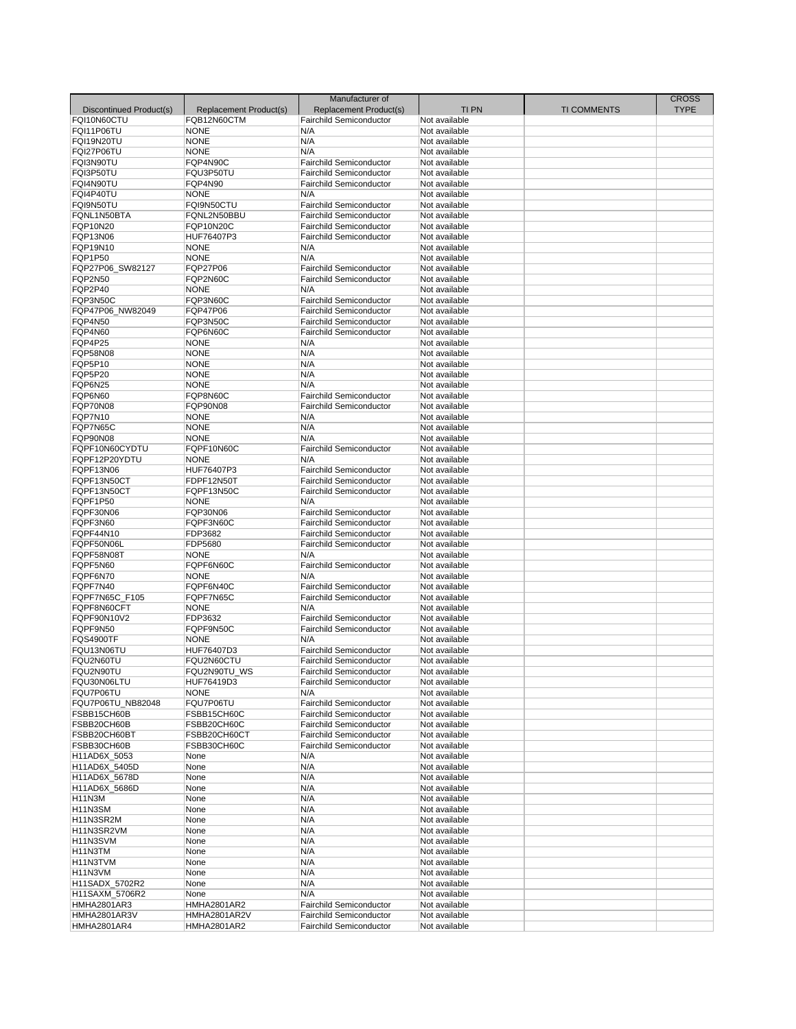|                         |                        | Manufacturer of                |                                |                    | <b>CROSS</b> |
|-------------------------|------------------------|--------------------------------|--------------------------------|--------------------|--------------|
| Discontinued Product(s) | Replacement Product(s) | Replacement Product(s)         | <b>TIPN</b>                    | <b>TI COMMENTS</b> | <b>TYPE</b>  |
| FQI10N60CTU             | FQB12N60CTM            | <b>Fairchild Semiconductor</b> | Not available                  |                    |              |
| FQI11P06TU              | <b>NONE</b>            | N/A                            | Not available                  |                    |              |
| FQI19N20TU              | <b>NONE</b>            | N/A                            | Not available                  |                    |              |
| FQI27P06TU              | <b>NONE</b>            | N/A                            | Not available                  |                    |              |
| FQI3N90TU               | FQP4N90C               | <b>Fairchild Semiconductor</b> | Not available                  |                    |              |
| FQI3P50TU               | FQU3P50TU              | <b>Fairchild Semiconductor</b> | Not available                  |                    |              |
| FQI4N90TU               | FQP4N90                | Fairchild Semiconductor        | Not available                  |                    |              |
| FQI4P40TU               | <b>NONE</b>            | N/A                            | Not available                  |                    |              |
| FQI9N50TU               | FQI9N50CTU             | <b>Fairchild Semiconductor</b> | Not available                  |                    |              |
| FQNL1N50BTA             | FQNL2N50BBU            | <b>Fairchild Semiconductor</b> | Not available                  |                    |              |
| FQP10N20                | <b>FQP10N20C</b>       | <b>Fairchild Semiconductor</b> | Not available                  |                    |              |
| FQP13N06                | HUF76407P3             | <b>Fairchild Semiconductor</b> | Not available                  |                    |              |
| FQP19N10                | <b>NONE</b>            | N/A                            | Not available                  |                    |              |
| <b>FQP1P50</b>          | <b>NONE</b>            | N/A                            | Not available                  |                    |              |
| FQP27P06 SW82127        | <b>FQP27P06</b>        | <b>Fairchild Semiconductor</b> | Not available                  |                    |              |
| <b>FQP2N50</b>          | FQP2N60C               | Fairchild Semiconductor        | Not available                  |                    |              |
| FQP2P40                 | <b>NONE</b>            | N/A                            | Not available                  |                    |              |
| FQP3N50C                | FQP3N60C               | <b>Fairchild Semiconductor</b> | Not available                  |                    |              |
| FQP47P06_NW82049        | <b>FQP47P06</b>        | <b>Fairchild Semiconductor</b> | Not available                  |                    |              |
| FQP4N50                 | FQP3N50C               | <b>Fairchild Semiconductor</b> | Not available                  |                    |              |
| FQP4N60                 | FQP6N60C               | <b>Fairchild Semiconductor</b> | Not available                  |                    |              |
| <b>FQP4P25</b>          | <b>NONE</b>            | N/A                            | Not available                  |                    |              |
| FQP58N08                | <b>NONE</b>            | N/A                            | Not available                  |                    |              |
| FQP5P10                 | <b>NONE</b>            | N/A                            | Not available                  |                    |              |
| FQP5P20                 | <b>NONE</b>            | N/A                            | Not available                  |                    |              |
| FQP6N25                 | <b>NONE</b>            | N/A                            | Not available                  |                    |              |
| FQP6N60                 | FQP8N60C               | <b>Fairchild Semiconductor</b> |                                |                    |              |
| FQP70N08                | <b>FQP90N08</b>        | <b>Fairchild Semiconductor</b> | Not available<br>Not available |                    |              |
| FQP7N10                 | <b>NONE</b>            | N/A                            | Not available                  |                    |              |
| FQP7N65C                |                        |                                | Not available                  |                    |              |
|                         | <b>NONE</b>            | N/A                            |                                |                    |              |
| <b>FQP90N08</b>         | <b>NONE</b>            | N/A                            | Not available                  |                    |              |
| FQPF10N60CYDTU          | FQPF10N60C             | <b>Fairchild Semiconductor</b> | Not available                  |                    |              |
| FQPF12P20YDTU           | <b>NONE</b>            | N/A                            | Not available                  |                    |              |
| FQPF13N06               | HUF76407P3             | <b>Fairchild Semiconductor</b> | Not available                  |                    |              |
| FQPF13N50CT             | FDPF12N50T             | <b>Fairchild Semiconductor</b> | Not available                  |                    |              |
| FQPF13N50CT             | FQPF13N50C             | <b>Fairchild Semiconductor</b> | Not available                  |                    |              |
| FQPF1P50                | <b>NONE</b>            | N/A                            | Not available                  |                    |              |
| FQPF30N06               | FQP30N06               | <b>Fairchild Semiconductor</b> | Not available                  |                    |              |
| FQPF3N60                | FQPF3N60C              | <b>Fairchild Semiconductor</b> | Not available                  |                    |              |
| FQPF44N10               | FDP3682                | <b>Fairchild Semiconductor</b> | Not available                  |                    |              |
| FQPF50N06L              | FDP5680                | <b>Fairchild Semiconductor</b> | Not available                  |                    |              |
| FQPF58N08T              | <b>NONE</b>            | N/A                            | Not available                  |                    |              |
| FQPF5N60                | FQPF6N60C              | <b>Fairchild Semiconductor</b> | Not available                  |                    |              |
| FQPF6N70                | <b>NONE</b>            | N/A                            | Not available                  |                    |              |
| FQPF7N40                | FQPF6N40C              | <b>Fairchild Semiconductor</b> | Not available                  |                    |              |
| FQPF7N65C F105          | FQPF7N65C              | <b>Fairchild Semiconductor</b> | Not available                  |                    |              |
| FQPF8N60CFT             | <b>NONE</b>            | N/A                            | Not available                  |                    |              |
| FQPF90N10V2             | FDP3632                | <b>Fairchild Semiconductor</b> | Not available                  |                    |              |
| FQPF9N50                | FQPF9N50C              | <b>Fairchild Semiconductor</b> | Not available                  |                    |              |
| <b>FQS4900TF</b>        | <b>NONE</b>            | N/A                            | Not available                  |                    |              |
| FQU13N06TU              | HUF76407D3             | <b>Fairchild Semiconductor</b> | Not available                  |                    |              |
| FQU2N60TU               | FQU2N60CTU             | Fairchild Semiconductor        | Not available                  |                    |              |
| FQU2N90TU               | FQU2N90TU_WS           | <b>Fairchild Semiconductor</b> | Not available                  |                    |              |
| FQU30N06LTU             | HUF76419D3             | <b>Fairchild Semiconductor</b> | Not available                  |                    |              |
| FQU7P06TU               | <b>NONE</b>            | N/A                            | Not available                  |                    |              |
| FQU7P06TU NB82048       | FQU7P06TU              | <b>Fairchild Semiconductor</b> | Not available                  |                    |              |
| FSBB15CH60B             | FSBB15CH60C            | <b>Fairchild Semiconductor</b> | Not available                  |                    |              |
| FSBB20CH60B             | FSBB20CH60C            | <b>Fairchild Semiconductor</b> | Not available                  |                    |              |
| FSBB20CH60BT            | FSBB20CH60CT           | <b>Fairchild Semiconductor</b> | Not available                  |                    |              |
| FSBB30CH60B             | FSBB30CH60C            | <b>Fairchild Semiconductor</b> | Not available                  |                    |              |
| H11AD6X_5053            | None                   | N/A                            | Not available                  |                    |              |
| H11AD6X 5405D           | None                   | N/A                            | Not available                  |                    |              |
| H11AD6X_5678D           | None                   | N/A                            | Not available                  |                    |              |
| H11AD6X_5686D           | None                   | N/A                            | Not available                  |                    |              |
| H11N3M                  | None                   | N/A                            | Not available                  |                    |              |
| <b>H11N3SM</b>          | None                   | N/A                            | Not available                  |                    |              |
| H11N3SR2M               | None                   | N/A                            | Not available                  |                    |              |
| H11N3SR2VM              | None                   | N/A                            | Not available                  |                    |              |
| H11N3SVM                | None                   | N/A                            | Not available                  |                    |              |
| H11N3TM                 | None                   | N/A                            | Not available                  |                    |              |
| H11N3TVM                | None                   | N/A                            | Not available                  |                    |              |
| H11N3VM                 | None                   | N/A                            | Not available                  |                    |              |
| H11SADX_5702R2          | None                   | N/A                            | Not available                  |                    |              |
| H11SAXM_5706R2          | None                   | N/A                            | Not available                  |                    |              |
| <b>HMHA2801AR3</b>      | <b>HMHA2801AR2</b>     | <b>Fairchild Semiconductor</b> | Not available                  |                    |              |
| HMHA2801AR3V            | HMHA2801AR2V           | <b>Fairchild Semiconductor</b> | Not available                  |                    |              |
| HMHA2801AR4             | <b>HMHA2801AR2</b>     | <b>Fairchild Semiconductor</b> | Not available                  |                    |              |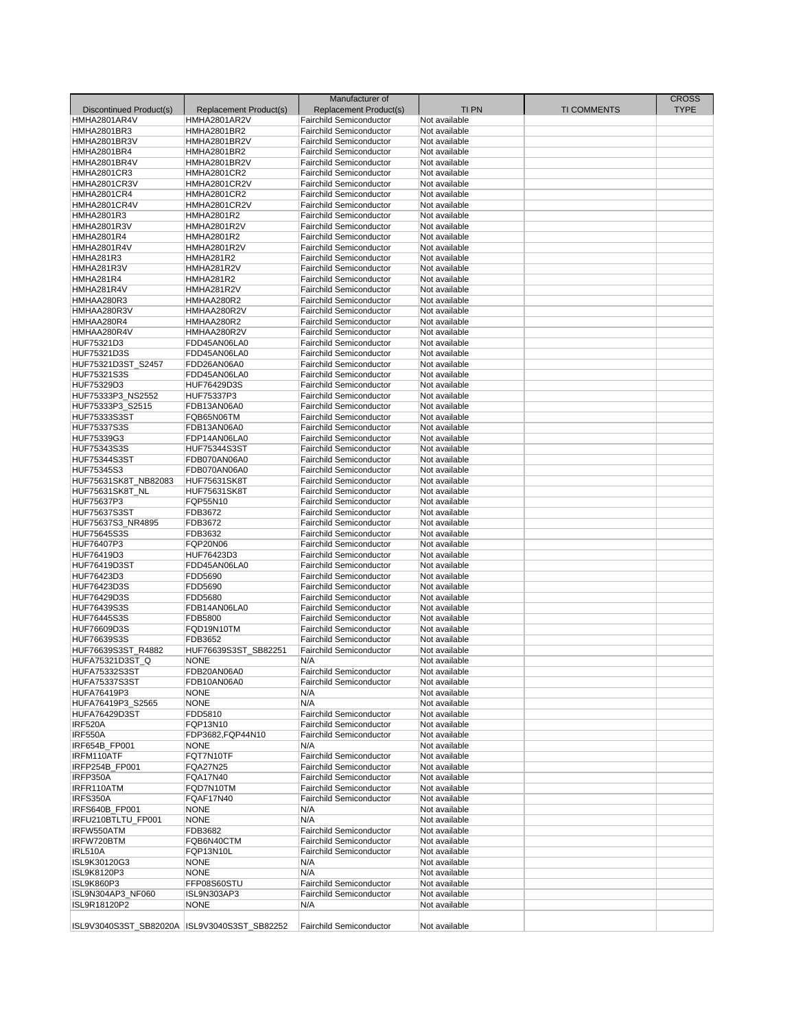|                                               |                        | Manufacturer of                |               |                    | <b>CROSS</b> |
|-----------------------------------------------|------------------------|--------------------------------|---------------|--------------------|--------------|
| Discontinued Product(s)                       | Replacement Product(s) | Replacement Product(s)         | <b>TIPN</b>   | <b>TI COMMENTS</b> | <b>TYPE</b>  |
| HMHA2801AR4V                                  | HMHA2801AR2V           | <b>Fairchild Semiconductor</b> | Not available |                    |              |
| <b>HMHA2801BR3</b>                            | <b>HMHA2801BR2</b>     | <b>Fairchild Semiconductor</b> | Not available |                    |              |
| HMHA2801BR3V                                  | HMHA2801BR2V           | <b>Fairchild Semiconductor</b> | Not available |                    |              |
| <b>HMHA2801BR4</b>                            | <b>HMHA2801BR2</b>     | <b>Fairchild Semiconductor</b> | Not available |                    |              |
|                                               |                        |                                |               |                    |              |
| HMHA2801BR4V                                  | HMHA2801BR2V           | <b>Fairchild Semiconductor</b> | Not available |                    |              |
| <b>HMHA2801CR3</b>                            | <b>HMHA2801CR2</b>     | <b>Fairchild Semiconductor</b> | Not available |                    |              |
| HMHA2801CR3V                                  | HMHA2801CR2V           | <b>Fairchild Semiconductor</b> | Not available |                    |              |
| <b>HMHA2801CR4</b>                            | <b>HMHA2801CR2</b>     | <b>Fairchild Semiconductor</b> | Not available |                    |              |
| HMHA2801CR4V                                  | HMHA2801CR2V           | <b>Fairchild Semiconductor</b> | Not available |                    |              |
| <b>HMHA2801R3</b>                             | <b>HMHA2801R2</b>      | <b>Fairchild Semiconductor</b> | Not available |                    |              |
| <b>HMHA2801R3V</b>                            | HMHA2801R2V            | <b>Fairchild Semiconductor</b> | Not available |                    |              |
| <b>HMHA2801R4</b>                             | <b>HMHA2801R2</b>      | <b>Fairchild Semiconductor</b> | Not available |                    |              |
| <b>HMHA2801R4V</b>                            | <b>HMHA2801R2V</b>     | <b>Fairchild Semiconductor</b> | Not available |                    |              |
| HMHA281R3                                     | <b>HMHA281R2</b>       | <b>Fairchild Semiconductor</b> | Not available |                    |              |
| HMHA281R3V                                    | HMHA281R2V             | <b>Fairchild Semiconductor</b> | Not available |                    |              |
| HMHA281R4                                     | <b>HMHA281R2</b>       | <b>Fairchild Semiconductor</b> | Not available |                    |              |
|                                               |                        |                                |               |                    |              |
| HMHA281R4V                                    | HMHA281R2V             | <b>Fairchild Semiconductor</b> | Not available |                    |              |
| HMHAA280R3                                    | HMHAA280R2             | <b>Fairchild Semiconductor</b> | Not available |                    |              |
| HMHAA280R3V                                   | HMHAA280R2V            | <b>Fairchild Semiconductor</b> | Not available |                    |              |
| HMHAA280R4                                    | HMHAA280R2             | <b>Fairchild Semiconductor</b> | Not available |                    |              |
| HMHAA280R4V                                   | HMHAA280R2V            | <b>Fairchild Semiconductor</b> | Not available |                    |              |
| HUF75321D3                                    | FDD45AN06LA0           | <b>Fairchild Semiconductor</b> | Not available |                    |              |
| HUF75321D3S                                   | FDD45AN06LA0           | <b>Fairchild Semiconductor</b> | Not available |                    |              |
| HUF75321D3ST_S2457                            | FDD26AN06A0            | <b>Fairchild Semiconductor</b> | Not available |                    |              |
| HUF75321S3S                                   | FDD45AN06LA0           | <b>Fairchild Semiconductor</b> | Not available |                    |              |
| HUF75329D3                                    | HUF76429D3S            | <b>Fairchild Semiconductor</b> |               |                    |              |
|                                               |                        |                                | Not available |                    |              |
| HUF75333P3_NS2552                             | HUF75337P3             | <b>Fairchild Semiconductor</b> | Not available |                    |              |
| HUF75333P3 S2515                              | FDB13AN06A0            | <b>Fairchild Semiconductor</b> | Not available |                    |              |
| <b>HUF75333S3ST</b>                           | FQB65N06TM             | <b>Fairchild Semiconductor</b> | Not available |                    |              |
| <b>HUF75337S3S</b>                            | FDB13AN06A0            | <b>Fairchild Semiconductor</b> | Not available |                    |              |
| HUF75339G3                                    | FDP14AN06LA0           | <b>Fairchild Semiconductor</b> | Not available |                    |              |
| HUF75343S3S                                   | <b>HUF75344S3ST</b>    | <b>Fairchild Semiconductor</b> | Not available |                    |              |
| <b>HUF75344S3ST</b>                           | FDB070AN06A0           | <b>Fairchild Semiconductor</b> | Not available |                    |              |
| HUF75345S3                                    | FDB070AN06A0           | <b>Fairchild Semiconductor</b> | Not available |                    |              |
| HUF75631SK8T NB82083                          | <b>HUF75631SK8T</b>    | <b>Fairchild Semiconductor</b> | Not available |                    |              |
| HUF75631SK8T_NL                               | <b>HUF75631SK8T</b>    | <b>Fairchild Semiconductor</b> | Not available |                    |              |
|                                               |                        |                                |               |                    |              |
| HUF75637P3                                    | FQP55N10               | <b>Fairchild Semiconductor</b> | Not available |                    |              |
| <b>HUF75637S3ST</b>                           | FDB3672                | <b>Fairchild Semiconductor</b> | Not available |                    |              |
| HUF75637S3 NR4895                             | FDB3672                | <b>Fairchild Semiconductor</b> | Not available |                    |              |
| <b>HUF75645S3S</b>                            | FDB3632                | <b>Fairchild Semiconductor</b> | Not available |                    |              |
| HUF76407P3                                    | <b>FQP20N06</b>        | <b>Fairchild Semiconductor</b> | Not available |                    |              |
| HUF76419D3                                    | HUF76423D3             | <b>Fairchild Semiconductor</b> | Not available |                    |              |
| <b>HUF76419D3ST</b>                           | FDD45AN06LA0           | <b>Fairchild Semiconductor</b> | Not available |                    |              |
| HUF76423D3                                    | FDD5690                | <b>Fairchild Semiconductor</b> | Not available |                    |              |
| HUF76423D3S                                   | FDD5690                | <b>Fairchild Semiconductor</b> | Not available |                    |              |
| HUF76429D3S                                   | FDD5680                | <b>Fairchild Semiconductor</b> | Not available |                    |              |
| HUF76439S3S                                   | FDB14AN06LA0           | <b>Fairchild Semiconductor</b> | Not available |                    |              |
|                                               |                        |                                |               |                    |              |
| HUF76445S3S                                   | FDB5800                | <b>Fairchild Semiconductor</b> | Not available |                    |              |
| HUF76609D3S                                   | FQD19N10TM             | <b>Fairchild Semiconductor</b> | Not available |                    |              |
| HUF76639S3S                                   | FDB3652                | <b>Fairchild Semiconductor</b> | Not available |                    |              |
| HUF76639S3ST_R4882                            | HUF76639S3ST SB82251   | <b>Fairchild Semiconductor</b> | Not available |                    |              |
| HUFA75321D3ST_Q                               | <b>NONE</b>            | N/A                            | Not available |                    |              |
| <b>HUFA75332S3ST</b>                          | FDB20AN06A0            | <b>Fairchild Semiconductor</b> | Not available |                    |              |
| <b>HUFA75337S3ST</b>                          | FDB10AN06A0            | <b>Fairchild Semiconductor</b> | Not available |                    |              |
| HUFA76419P3                                   | <b>NONE</b>            | N/A                            | Not available |                    |              |
| HUFA76419P3 S2565                             | <b>NONE</b>            | N/A                            | Not available |                    |              |
| <b>HUFA76429D3ST</b>                          | FDD5810                | <b>Fairchild Semiconductor</b> | Not available |                    |              |
| <b>IRF520A</b>                                | FQP13N10               | <b>Fairchild Semiconductor</b> | Not available |                    |              |
| <b>IRF550A</b>                                | FDP3682,FQP44N10       | <b>Fairchild Semiconductor</b> | Not available |                    |              |
| <b>IRF654B FP001</b>                          |                        |                                |               |                    |              |
|                                               | <b>NONE</b>            | N/A                            | Not available |                    |              |
| IRFM110ATF                                    | FQT7N10TF              | <b>Fairchild Semiconductor</b> | Not available |                    |              |
| IRFP254B_FP001                                | <b>FQA27N25</b>        | <b>Fairchild Semiconductor</b> | Not available |                    |              |
| IRFP350A                                      | FQA17N40               | <b>Fairchild Semiconductor</b> | Not available |                    |              |
| IRFR110ATM                                    | FQD7N10TM              | <b>Fairchild Semiconductor</b> | Not available |                    |              |
| IRFS350A                                      | FQAF17N40              | <b>Fairchild Semiconductor</b> | Not available |                    |              |
| IRFS640B_FP001                                | <b>NONE</b>            | N/A                            | Not available |                    |              |
| IRFU210BTLTU FP001                            | <b>NONE</b>            | N/A                            | Not available |                    |              |
| IRFW550ATM                                    | FDB3682                | <b>Fairchild Semiconductor</b> | Not available |                    |              |
| IRFW720BTM                                    | FQB6N40CTM             | <b>Fairchild Semiconductor</b> | Not available |                    |              |
| <b>IRL510A</b>                                | FQP13N10L              | <b>Fairchild Semiconductor</b> | Not available |                    |              |
| ISL9K30120G3                                  | <b>NONE</b>            | N/A                            | Not available |                    |              |
| ISL9K8120P3                                   | <b>NONE</b>            | N/A                            | Not available |                    |              |
|                                               |                        |                                |               |                    |              |
| <b>ISL9K860P3</b>                             | FFP08S60STU            | <b>Fairchild Semiconductor</b> | Not available |                    |              |
| ISL9N304AP3 NF060                             | ISL9N303AP3            | <b>Fairchild Semiconductor</b> | Not available |                    |              |
| ISL9R18120P2                                  | <b>NONE</b>            | N/A                            | Not available |                    |              |
| ISL9V3040S3ST_SB82020A  ISL9V3040S3ST_SB82252 |                        | <b>Fairchild Semiconductor</b> | Not available |                    |              |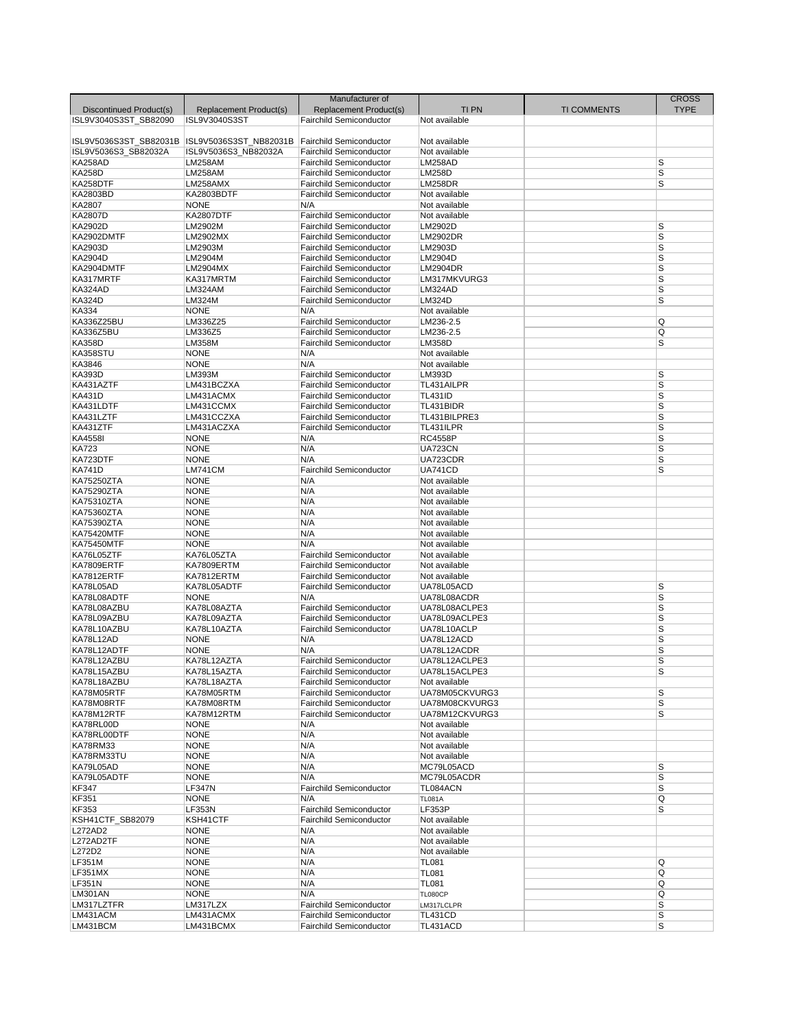|                         |                           | Manufacturer of                |                             |                    | <b>CROSS</b>            |
|-------------------------|---------------------------|--------------------------------|-----------------------------|--------------------|-------------------------|
| Discontinued Product(s) | Replacement Product(s)    | Replacement Product(s)         | <b>TI PN</b>                | <b>TI COMMENTS</b> | <b>TYPE</b>             |
| ISL9V3040S3ST SB82090   | ISL9V3040S3ST             | <b>Fairchild Semiconductor</b> | Not available               |                    |                         |
|                         |                           |                                |                             |                    |                         |
| ISL9V5036S3ST SB82031B  | ISL9V5036S3ST NB82031B    | Fairchild Semiconductor        | Not available               |                    |                         |
| ISL9V5036S3 SB82032A    | ISL9V5036S3_NB82032A      | <b>Fairchild Semiconductor</b> | Not available               |                    |                         |
| KA258AD                 | <b>LM258AM</b>            | <b>Fairchild Semiconductor</b> | LM258AD                     |                    | S                       |
| <b>KA258D</b>           | <b>LM258AM</b>            | <b>Fairchild Semiconductor</b> | <b>LM258D</b>               |                    | S                       |
| KA258DTF                | LM258AMX                  | <b>Fairchild Semiconductor</b> | <b>LM258DR</b>              |                    | S                       |
| KA2803BD                | KA2803BDTF                | <b>Fairchild Semiconductor</b> | Not available               |                    |                         |
| KA2807                  | <b>NONE</b>               | N/A                            | Not available               |                    |                         |
| <b>KA2807D</b>          | <b>KA2807DTF</b>          | <b>Fairchild Semiconductor</b> | Not available               |                    |                         |
| KA2902D                 | LM2902M                   | <b>Fairchild Semiconductor</b> | LM2902D                     |                    | S                       |
| KA2902DMTF              | LM2902MX                  | <b>Fairchild Semiconductor</b> | <b>LM2902DR</b>             |                    | S                       |
| KA2903D                 | LM2903M                   | <b>Fairchild Semiconductor</b> | LM2903D                     |                    | S                       |
| KA2904D                 | LM2904M                   | <b>Fairchild Semiconductor</b> | LM2904D                     |                    | S                       |
| KA2904DMTF              | LM2904MX                  | <b>Fairchild Semiconductor</b> | <b>LM2904DR</b>             |                    | $\overline{s}$          |
| KA317MRTF               | KA317MRTM                 | <b>Fairchild Semiconductor</b> | LM317MKVURG3                |                    | S                       |
| KA324AD                 | LM324AM                   | <b>Fairchild Semiconductor</b> | LM324AD                     |                    | S                       |
| <b>KA324D</b>           | LM324M                    | <b>Fairchild Semiconductor</b> | <b>LM324D</b>               |                    | S                       |
| KA334                   | <b>NONE</b>               | N/A                            | Not available               |                    |                         |
| KA336Z25BU              | LM336Z25                  | <b>Fairchild Semiconductor</b> | LM236-2.5                   |                    | Q                       |
| KA336Z5BU               | LM336Z5                   | <b>Fairchild Semiconductor</b> | LM236-2.5                   |                    | Q                       |
| <b>KA358D</b>           | <b>LM358M</b>             | <b>Fairchild Semiconductor</b> | <b>LM358D</b>               |                    | S                       |
| KA358STU                | <b>NONE</b>               | N/A                            | Not available               |                    |                         |
| KA3846                  | <b>NONE</b>               | N/A                            | Not available               |                    |                         |
| <b>KA393D</b>           | LM393M                    | <b>Fairchild Semiconductor</b> | LM393D                      |                    | S                       |
| KA431AZTF               | LM431BCZXA                | <b>Fairchild Semiconductor</b> | TL431AILPR                  |                    | $\overline{\mathsf{s}}$ |
| <b>KA431D</b>           | LM431ACMX                 | <b>Fairchild Semiconductor</b> | <b>TL431ID</b>              |                    | S                       |
| KA431LDTF               | LM431CCMX                 | <b>Fairchild Semiconductor</b> | TL431BIDR                   |                    | S                       |
| KA431LZTF               | LM431CCZXA                | <b>Fairchild Semiconductor</b> | TL431BILPRE3                |                    | $\overline{s}$          |
| KA431ZTF                | LM431ACZXA                | <b>Fairchild Semiconductor</b> | TL431ILPR                   |                    | S                       |
| KA4558I                 | <b>NONE</b>               | N/A                            | <b>RC4558P</b>              |                    | S                       |
| <b>KA723</b>            | <b>NONE</b>               | N/A                            | <b>UA723CN</b>              |                    | S                       |
| KA723DTF                | <b>NONE</b>               | N/A                            | UA723CDR                    |                    | $\overline{s}$          |
| <b>KA741D</b>           | LM741CM                   | <b>Fairchild Semiconductor</b> | <b>UA741CD</b>              |                    | S                       |
| <b>KA75250ZTA</b>       | <b>NONE</b>               | N/A                            | Not available               |                    |                         |
| <b>KA75290ZTA</b>       | <b>NONE</b>               | N/A                            | Not available               |                    |                         |
| KA75310ZTA              | <b>NONE</b>               | N/A                            | Not available               |                    |                         |
| KA75360ZTA              | <b>NONE</b>               | N/A                            | Not available               |                    |                         |
| KA75390ZTA              | <b>NONE</b>               | N/A                            | Not available               |                    |                         |
| <b>KA75420MTF</b>       | <b>NONE</b>               | N/A                            | Not available               |                    |                         |
| <b>KA75450MTF</b>       | <b>NONE</b>               | N/A                            | Not available               |                    |                         |
| KA76L05ZTF              | KA76L05ZTA                | <b>Fairchild Semiconductor</b> | Not available               |                    |                         |
| KA7809ERTF              | KA7809ERTM                | <b>Fairchild Semiconductor</b> | Not available               |                    |                         |
|                         |                           | <b>Fairchild Semiconductor</b> |                             |                    |                         |
| KA7812ERTF<br>KA78L05AD | KA7812ERTM<br>KA78L05ADTF | <b>Fairchild Semiconductor</b> | Not available<br>UA78L05ACD |                    | S                       |
| KA78L08ADTF             | <b>NONE</b>               | N/A                            | UA78L08ACDR                 |                    | S                       |
|                         |                           |                                |                             |                    |                         |
| KA78L08AZBU             | KA78L08AZTA               | <b>Fairchild Semiconductor</b> | UA78L08ACLPE3               |                    | $\sf S$                 |
| KA78L09AZBU             | KA78L09AZTA               | <b>Fairchild Semiconductor</b> | UA78L09ACLPE3               |                    | S                       |
| KA78L10AZBU             | KA78L10AZTA               | <b>Fairchild Semiconductor</b> | UA78L10ACLP                 |                    | S                       |
| KA78L12AD               | <b>NONE</b>               | N/A                            | UA78L12ACD                  |                    | S                       |
| KA78L12ADTF             | <b>NONE</b>               | N/A                            | UA78L12ACDR                 |                    | S                       |
| KA78L12AZBU             | KA78L12AZTA               | <b>Fairchild Semiconductor</b> | UA78L12ACLPE3               |                    | S                       |
| KA78L15AZBU             | KA78L15AZTA               | <b>Fairchild Semiconductor</b> | UA78L15ACLPE3               |                    | S                       |
| KA78L18AZBU             | KA78L18AZTA               | <b>Fairchild Semiconductor</b> | Not available               |                    |                         |
| KA78M05RTF              | KA78M05RTM                | <b>Fairchild Semiconductor</b> | UA78M05CKVURG3              |                    | S                       |
| KA78M08RTF              | KA78M08RTM                | <b>Fairchild Semiconductor</b> | UA78M08CKVURG3              |                    | S                       |
| KA78M12RTF              | KA78M12RTM                | <b>Fairchild Semiconductor</b> | UA78M12CKVURG3              |                    | S                       |
| KA78RL00D               | <b>NONE</b>               | N/A                            | Not available               |                    |                         |
| KA78RL00DTF             | <b>NONE</b>               | N/A                            | Not available               |                    |                         |
| KA78RM33                | <b>NONE</b>               | N/A                            | Not available               |                    |                         |
| KA78RM33TU              | <b>NONE</b>               | N/A                            | Not available               |                    |                         |
| KA79L05AD               | <b>NONE</b>               | N/A                            | MC79L05ACD                  |                    | S                       |
| KA79L05ADTF             | <b>NONE</b>               | N/A                            | MC79L05ACDR                 |                    | S                       |
| KF347                   | <b>LF347N</b>             | <b>Fairchild Semiconductor</b> | TL084ACN                    |                    | S                       |
| <b>KF351</b>            | <b>NONE</b>               | N/A                            | <b>TL081A</b>               |                    | Q                       |
| KF353                   | LF353N                    | <b>Fairchild Semiconductor</b> | LF353P                      |                    | S                       |
| KSH41CTF SB82079        | KSH41CTF                  | Fairchild Semiconductor        | Not available               |                    |                         |
| L272AD2                 | <b>NONE</b>               | N/A                            | Not available               |                    |                         |
| L272AD2TF               | <b>NONE</b>               | N/A                            | Not available               |                    |                         |
| L272D2                  | <b>NONE</b>               | N/A                            | Not available               |                    |                         |
| <b>LF351M</b>           | <b>NONE</b>               | N/A                            | <b>TL081</b>                |                    | Q                       |
| LF351MX                 | <b>NONE</b>               | N/A                            | <b>TL081</b>                |                    | Q                       |
| <b>LF351N</b>           | <b>NONE</b>               | N/A                            | <b>TL081</b>                |                    | Q                       |
| <b>LM301AN</b>          | <b>NONE</b>               | N/A                            | <b>TL080CP</b>              |                    | Q                       |
| LM317LZTFR              | LM317LZX                  | <b>Fairchild Semiconductor</b> | LM317LCLPR                  |                    | S                       |
| LM431ACM                | LM431ACMX                 | <b>Fairchild Semiconductor</b> | TL431CD                     |                    | S                       |
| LM431BCM                | LM431BCMX                 | <b>Fairchild Semiconductor</b> | TL431ACD                    |                    | S                       |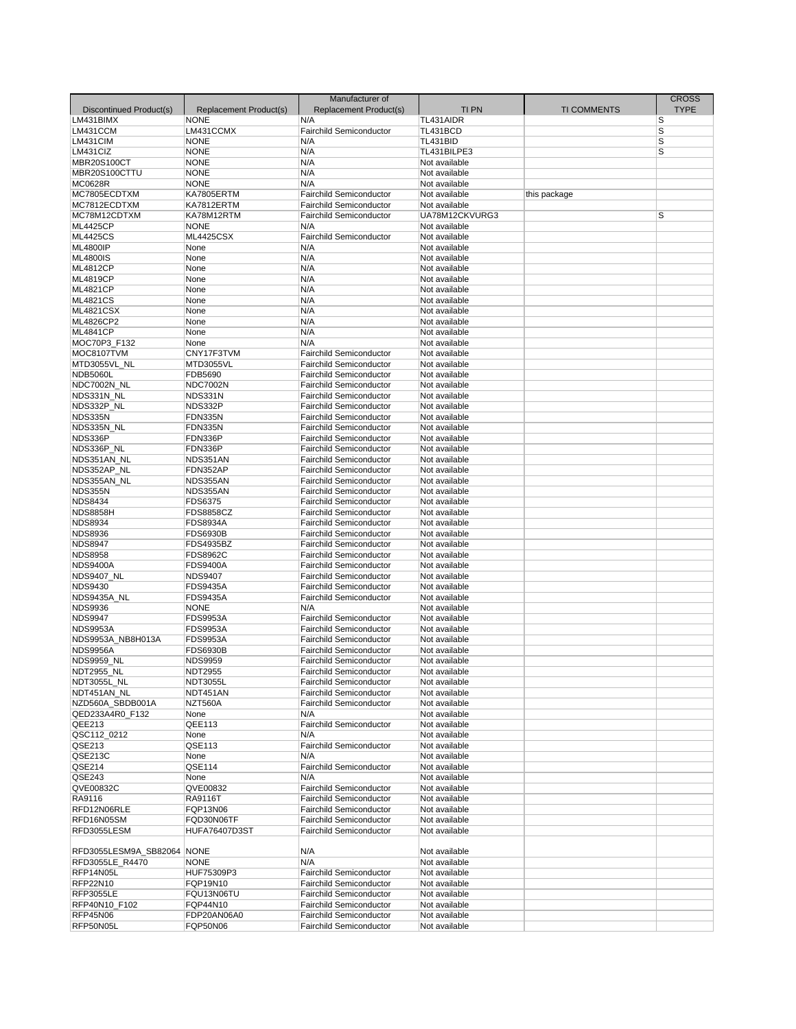|                            |                        | Manufacturer of                |                 |                    | <b>CROSS</b> |
|----------------------------|------------------------|--------------------------------|-----------------|--------------------|--------------|
| Discontinued Product(s)    | Replacement Product(s) | Replacement Product(s)         | <b>TIPN</b>     | <b>TI COMMENTS</b> | <b>TYPE</b>  |
| LM431BIMX                  | <b>NONE</b>            | N/A                            | TL431AIDR       |                    | S            |
| LM431CCM                   | LM431CCMX              | Fairchild Semiconductor        | TL431BCD        |                    | S            |
|                            | <b>NONE</b>            |                                | <b>TL431BID</b> |                    |              |
| LM431CIM                   |                        | N/A                            |                 |                    | S            |
| LM431CIZ                   | <b>NONE</b>            | N/A                            | TL431BILPE3     |                    | S            |
| MBR20S100CT                | <b>NONE</b>            | N/A                            | Not available   |                    |              |
| MBR20S100CTTU              | <b>NONE</b>            | N/A                            | Not available   |                    |              |
| <b>MC0628R</b>             | <b>NONE</b>            | N/A                            | Not available   |                    |              |
| MC7805ECDTXM               | KA7805ERTM             | <b>Fairchild Semiconductor</b> | Not available   | this package       |              |
| MC7812ECDTXM               | KA7812ERTM             | <b>Fairchild Semiconductor</b> | Not available   |                    |              |
| MC78M12CDTXM               | KA78M12RTM             | <b>Fairchild Semiconductor</b> | UA78M12CKVURG3  |                    | S            |
| <b>ML4425CP</b>            | <b>NONE</b>            | N/A                            | Not available   |                    |              |
| <b>ML4425CS</b>            | <b>ML4425CSX</b>       | <b>Fairchild Semiconductor</b> | Not available   |                    |              |
| <b>ML4800IP</b>            | None                   | N/A                            | Not available   |                    |              |
| <b>ML4800IS</b>            | None                   | N/A                            | Not available   |                    |              |
| <b>ML4812CP</b>            | None                   | N/A                            | Not available   |                    |              |
|                            |                        |                                | Not available   |                    |              |
| <b>ML4819CP</b>            | None                   | N/A                            |                 |                    |              |
| <b>ML4821CP</b>            | None                   | N/A                            | Not available   |                    |              |
| <b>ML4821CS</b>            | None                   | N/A                            | Not available   |                    |              |
| <b>ML4821CSX</b>           | None                   | N/A                            | Not available   |                    |              |
| ML4826CP2                  | None                   | N/A                            | Not available   |                    |              |
| <b>ML4841CP</b>            | None                   | N/A                            | Not available   |                    |              |
| MOC70P3_F132               | None                   | N/A                            | Not available   |                    |              |
| MOC8107TVM                 | CNY17F3TVM             | <b>Fairchild Semiconductor</b> | Not available   |                    |              |
| MTD3055VL_NL               | <b>MTD3055VL</b>       | <b>Fairchild Semiconductor</b> | Not available   |                    |              |
| <b>NDB5060L</b>            | FDB5690                | <b>Fairchild Semiconductor</b> | Not available   |                    |              |
| NDC7002N NL                | <b>NDC7002N</b>        | <b>Fairchild Semiconductor</b> | Not available   |                    |              |
| NDS331N NL                 | NDS331N                | <b>Fairchild Semiconductor</b> | Not available   |                    |              |
| NDS332P_NL                 | NDS332P                | <b>Fairchild Semiconductor</b> | Not available   |                    |              |
| NDS335N                    | <b>FDN335N</b>         | <b>Fairchild Semiconductor</b> | Not available   |                    |              |
|                            |                        |                                |                 |                    |              |
| NDS335N_NL                 | FDN335N                | <b>Fairchild Semiconductor</b> | Not available   |                    |              |
| NDS336P                    | FDN336P                | <b>Fairchild Semiconductor</b> | Not available   |                    |              |
| NDS336P_NL                 | FDN336P                | <b>Fairchild Semiconductor</b> | Not available   |                    |              |
| NDS351AN_NL                | NDS351AN               | <b>Fairchild Semiconductor</b> | Not available   |                    |              |
| NDS352AP_NL                | FDN352AP               | <b>Fairchild Semiconductor</b> | Not available   |                    |              |
| NDS355AN NL                | NDS355AN               | <b>Fairchild Semiconductor</b> | Not available   |                    |              |
| NDS355N                    | NDS355AN               | <b>Fairchild Semiconductor</b> | Not available   |                    |              |
| <b>NDS8434</b>             | FDS6375                | <b>Fairchild Semiconductor</b> | Not available   |                    |              |
| <b>NDS8858H</b>            | <b>FDS8858CZ</b>       | <b>Fairchild Semiconductor</b> | Not available   |                    |              |
| <b>NDS8934</b>             | <b>FDS8934A</b>        | <b>Fairchild Semiconductor</b> | Not available   |                    |              |
| <b>NDS8936</b>             | <b>FDS6930B</b>        | <b>Fairchild Semiconductor</b> | Not available   |                    |              |
| <b>NDS8947</b>             | <b>FDS4935BZ</b>       | <b>Fairchild Semiconductor</b> | Not available   |                    |              |
| <b>NDS8958</b>             | <b>FDS8962C</b>        |                                |                 |                    |              |
|                            |                        | <b>Fairchild Semiconductor</b> | Not available   |                    |              |
| <b>NDS9400A</b>            | <b>FDS9400A</b>        | <b>Fairchild Semiconductor</b> | Not available   |                    |              |
| <b>NDS9407 NL</b>          | <b>NDS9407</b>         | <b>Fairchild Semiconductor</b> | Not available   |                    |              |
| <b>NDS9430</b>             | <b>FDS9435A</b>        | <b>Fairchild Semiconductor</b> | Not available   |                    |              |
| NDS9435A_NL                | <b>FDS9435A</b>        | <b>Fairchild Semiconductor</b> | Not available   |                    |              |
| <b>NDS9936</b>             | <b>NONE</b>            | N/A                            | Not available   |                    |              |
| <b>NDS9947</b>             | <b>FDS9953A</b>        | <b>Fairchild Semiconductor</b> | Not available   |                    |              |
| <b>NDS9953A</b>            | <b>FDS9953A</b>        | <b>Fairchild Semiconductor</b> | Not available   |                    |              |
| NDS9953A_NB8H013A          | <b>FDS9953A</b>        | <b>Fairchild Semiconductor</b> | Not available   |                    |              |
| <b>NDS9956A</b>            | <b>FDS6930B</b>        | <b>Fairchild Semiconductor</b> | Not available   |                    |              |
| <b>NDS9959 NL</b>          | <b>NDS9959</b>         | <b>Fairchild Semiconductor</b> | Not available   |                    |              |
| NDT2955_NL                 | <b>NDT2955</b>         | <b>Fairchild Semiconductor</b> | Not available   |                    |              |
| NDT3055L_NL                | <b>NDT3055L</b>        | Fairchild Semiconductor        | Not available   |                    |              |
| NDT451AN_NL                | NDT451AN               | <b>Fairchild Semiconductor</b> | Not available   |                    |              |
| NZD560A SBDB001A           |                        |                                |                 |                    |              |
|                            | NZT560A                | <b>Fairchild Semiconductor</b> | Not available   |                    |              |
| QED233A4R0_F132            | None                   | N/A                            | Not available   |                    |              |
| QEE213                     | QEE113                 | <b>Fairchild Semiconductor</b> | Not available   |                    |              |
| QSC112 0212                | None                   | N/A                            | Not available   |                    |              |
| QSE213                     | QSE113                 | <b>Fairchild Semiconductor</b> | Not available   |                    |              |
| QSE213C                    | None                   | N/A                            | Not available   |                    |              |
| QSE214                     | QSE114                 | Fairchild Semiconductor        | Not available   |                    |              |
| QSE243                     | None                   | N/A                            | Not available   |                    |              |
| QVE00832C                  | QVE00832               | <b>Fairchild Semiconductor</b> | Not available   |                    |              |
| RA9116                     | RA9116T                | <b>Fairchild Semiconductor</b> | Not available   |                    |              |
| RFD12N06RLE                | FQP13N06               | <b>Fairchild Semiconductor</b> | Not available   |                    |              |
| RFD16N05SM                 | FQD30N06TF             | <b>Fairchild Semiconductor</b> | Not available   |                    |              |
| RFD3055LESM                | <b>HUFA76407D3ST</b>   | <b>Fairchild Semiconductor</b> | Not available   |                    |              |
|                            |                        |                                |                 |                    |              |
|                            |                        |                                |                 |                    |              |
| RFD3055LESM9A SB82064 NONE |                        | N/A                            | Not available   |                    |              |
| RFD3055LE_R4470            | <b>NONE</b>            | N/A                            | Not available   |                    |              |
| RFP14N05L                  | HUF75309P3             | <b>Fairchild Semiconductor</b> | Not available   |                    |              |
| RFP22N10                   | FQP19N10               | <b>Fairchild Semiconductor</b> | Not available   |                    |              |
| <b>RFP3055LE</b>           | FQU13N06TU             | <b>Fairchild Semiconductor</b> | Not available   |                    |              |
| RFP40N10_F102              | FQP44N10               | <b>Fairchild Semiconductor</b> | Not available   |                    |              |
| <b>RFP45N06</b>            | FDP20AN06A0            | Fairchild Semiconductor        | Not available   |                    |              |
| RFP50N05L                  | <b>FQP50N06</b>        | <b>Fairchild Semiconductor</b> | Not available   |                    |              |